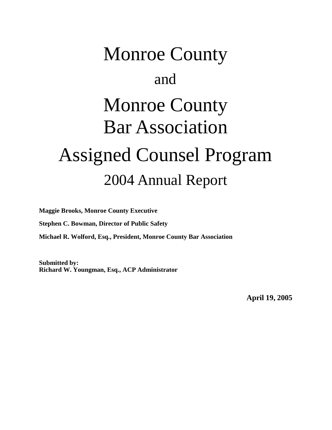# Monroe County and Monroe County Bar Association Assigned Counsel Program 2004 Annual Report

**Maggie Brooks, Monroe County Executive**

**Stephen C. Bowman, Director of Public Safety**

**Michael R. Wolford, Esq., President, Monroe County Bar Association**

**Submitted by: Richard W. Youngman, Esq., ACP Administrator**

**April 19, 2005**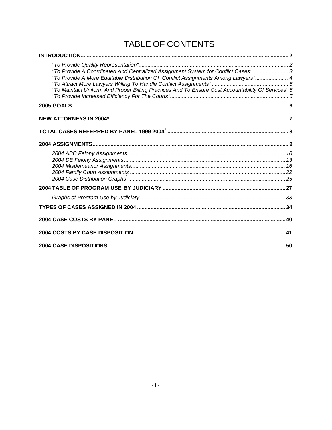## TABLE OF CONTENTS

| "To Provide A Coordinated And Centralized Assignment System for Conflict Cases" 3<br>"To Provide A More Equitable Distribution Of Conflict Assignments Among Lawyers" 4<br>"To Maintain Uniform And Proper Billing Practices And To Ensure Cost Accountability Of Services" 5 |  |
|-------------------------------------------------------------------------------------------------------------------------------------------------------------------------------------------------------------------------------------------------------------------------------|--|
|                                                                                                                                                                                                                                                                               |  |
|                                                                                                                                                                                                                                                                               |  |
|                                                                                                                                                                                                                                                                               |  |
|                                                                                                                                                                                                                                                                               |  |
|                                                                                                                                                                                                                                                                               |  |
|                                                                                                                                                                                                                                                                               |  |
|                                                                                                                                                                                                                                                                               |  |
|                                                                                                                                                                                                                                                                               |  |
|                                                                                                                                                                                                                                                                               |  |
|                                                                                                                                                                                                                                                                               |  |
|                                                                                                                                                                                                                                                                               |  |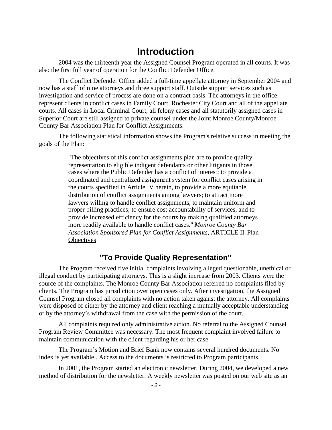#### <span id="page-2-0"></span>**Introduction**

2004 was the thirteenth year the Assigned Counsel Program operated in all courts. It was also the first full year of operation for the Conflict Defender Office.

The Conflict Defender Office added a full-time appellate attorney in September 2004 and now has a staff of nine attorneys and three support staff. Outside support services such as investigation and service of process are done on a contract basis. The attorneys in the office represent clients in conflict cases in Family Court, Rochester City Court and all of the appellate courts. All cases in Local Criminal Court, all felony cases and all statutorily assigned cases in Superior Court are still assigned to private counsel under the Joint Monroe County/Monroe County Bar Association Plan for Conflict Assignments.

The following statistical information shows the Program's relative success in meeting the goals of the Plan:

> "The objectives of this conflict assignments plan are to provide quality representation to eligible indigent defendants or other litigants in those cases where the Public Defender has a conflict of interest; to provide a coordinated and centralized assignment system for conflict cases arising in the courts specified in Article IV herein, to provide a more equitable distribution of conflict assignments among lawyers; to attract more lawyers willing to handle conflict assignments, to maintain uniform and proper billing practices; to ensure cost accountability of services, and to provide increased efficiency for the courts by making qualified attorneys more readily available to handle conflict cases." *Monroe County Bar Association Sponsored Plan for Conflict Assignments*, ARTICLE II. Plan **Objectives**

#### <span id="page-2-1"></span>**"To Provide Quality Representation"**

The Program received five initial complaints involving alleged questionable, unethical or illegal conduct by participating attorneys. This is a slight increase from 2003. Clients were the source of the complaints. The Monroe County Bar Association referred no complaints filed by clients. The Program has jurisdiction over open cases only. After investigation, the Assigned Counsel Program closed all complaints with no action taken against the attorney. All complaints were disposed of either by the attorney and client reaching a mutually acceptable understanding or by the attorney's withdrawal from the case with the permission of the court.

All complaints required only administrative action. No referral to the Assigned Counsel Program Review Committee was necessary. The most frequent complaint involved failure to maintain communication with the client regarding his or her case.

The Program's Motion and Brief Bank now contains several hundred documents. No index is yet available.. Access to the documents is restricted to Program participants.

In 2001, the Program started an electronic newsletter. During 2004, we developed a new method of distribution for the newsletter. A weekly newsletter was posted on our web site as an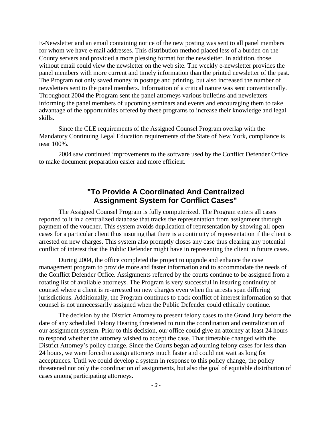E-Newsletter and an email containing notice of the new posting was sent to all panel members for whom we have e-mail addresses. This distribution method placed less of a burden on the County servers and provided a more pleasing format for the newsletter. In addition, those without email could view the newsletter on the web site. The weekly e-newsletter provides the panel members with more current and timely information than the printed newsletter of the past. The Program not only saved money in postage and printing, but also increased the number of newsletters sent to the panel members. Information of a critical nature was sent conventionally. Throughout 2004 the Program sent the panel attorneys various bulletins and newsletters informing the panel members of upcoming seminars and events and encouraging them to take advantage of the opportunities offered by these programs to increase their knowledge and legal skills.

Since the CLE requirements of the Assigned Counsel Program overlap with the Mandatory Continuing Legal Education requirements of the State of New York, compliance is near 100%.

2004 saw continued improvements to the software used by the Conflict Defender Office to make document preparation easier and more efficient.

#### <span id="page-3-0"></span>**"To Provide A Coordinated And Centralized Assignment System for Conflict Cases"**

The Assigned Counsel Program is fully computerized. The Program enters all cases reported to it in a centralized database that tracks the representation from assignment through payment of the voucher. This system avoids duplication of representation by showing all open cases for a particular client thus insuring that there is a continuity of representation if the client is arrested on new charges. This system also promptly closes any case thus clearing any potential conflict of interest that the Public Defender might have in representing the client in future cases.

During 2004, the office completed the project to upgrade and enhance the case management program to provide more and faster information and to accommodate the needs of the Conflict Defender Office. Assignments referred by the courts continue to be assigned from a rotating list of available attorneys. The Program is very successful in insuring continuity of counsel where a client is re-arrested on new charges even when the arrests span differing jurisdictions. Additionally, the Program continues to track conflict of interest information so that counsel is not unnecessarily assigned when the Public Defender could ethically continue.

The decision by the District Attorney to present felony cases to the Grand Jury before the date of any scheduled Felony Hearing threatened to ruin the coordination and centralization of our assignment system. Prior to this decision, our office could give an attorney at least 24 hours to respond whether the attorney wished to accept the case. That timetable changed with the District Attorney's policy change. Since the Courts began adjourning felony cases for less than 24 hours, we were forced to assign attorneys much faster and could not wait as long for acceptances. Until we could develop a system in response to this policy change, the policy threatened not only the coordination of assignments, but also the goal of equitable distribution of cases among participating attorneys.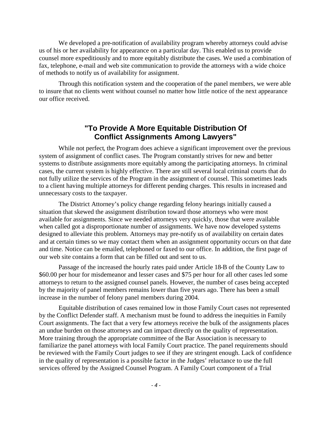We developed a pre-notification of availability program whereby attorneys could advise us of his or her availability for appearance on a particular day. This enabled us to provide counsel more expeditiously and to more equitably distribute the cases. We used a combination of fax, telephone, e-mail and web site communication to provide the attorneys with a wide choice of methods to notify us of availability for assignment.

Through this notification system and the cooperation of the panel members, we were able to insure that no clients went without counsel no matter how little notice of the next appearance our office received.

#### <span id="page-4-0"></span>**"To Provide A More Equitable Distribution Of Conflict Assignments Among Lawyers"**

While not perfect, the Program does achieve a significant improvement over the previous system of assignment of conflict cases. The Program constantly strives for new and better systems to distribute assignments more equitably among the participating attorneys. In criminal cases, the current system is highly effective. There are still several local criminal courts that do not fully utilize the services of the Program in the assignment of counsel. This sometimes leads to a client having multiple attorneys for different pending charges. This results in increased and unnecessary costs to the taxpayer.

The District Attorney's policy change regarding felony hearings initially caused a situation that skewed the assignment distribution toward those attorneys who were most available for assignments. Since we needed attorneys very quickly, those that were available when called got a disproportionate number of assignments. We have now developed systems designed to alleviate this problem. Attorneys may pre-notify us of availability on certain dates and at certain times so we may contact them when an assignment opportunity occurs on that date and time. Notice can be emailed, telephoned or faxed to our office. In addition, the first page of our web site contains a form that can be filled out and sent to us.

Passage of the increased the hourly rates paid under Article 18-B of the County Law to \$60.00 per hour for misdemeanor and lesser cases and \$75 per hour for all other cases led some attorneys to return to the assigned counsel panels. However, the number of cases being accepted by the majority of panel members remains lower than five years ago. There has been a small increase in the number of felony panel members during 2004.

Equitable distribution of cases remained low in those Family Court cases not represented by the Conflict Defender staff. A mechanism must be found to address the inequities in Family Court assignments. The fact that a very few attorneys receive the bulk of the assignments places an undue burden on those attorneys and can impact directly on the quality of representation. More training through the appropriate committee of the Bar Association is necessary to familiarize the panel attorneys with local Family Court practice. The panel requirements should be reviewed with the Family Court judges to see if they are stringent enough. Lack of confidence in the quality of representation is a possible factor in the Judges' reluctance to use the full services offered by the Assigned Counsel Program. A Family Court component of a Trial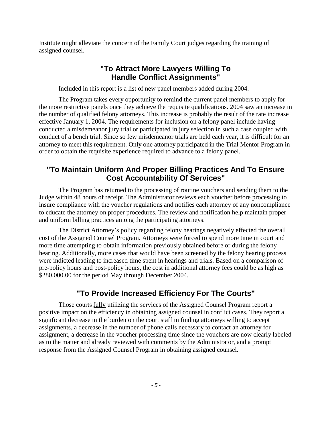Institute might alleviate the concern of the Family Court judges regarding the training of assigned counsel.

#### <span id="page-5-0"></span>**"To Attract More Lawyers Willing To Handle Conflict Assignments"**

Included in this report is a list of new panel members added during 2004.

The Program takes every opportunity to remind the current panel members to apply for the more restrictive panels once they achieve the requisite qualifications. 2004 saw an increase in the number of qualified felony attorneys. This increase is probably the result of the rate increase effective January 1, 2004. The requirements for inclusion on a felony panel include having conducted a misdemeanor jury trial or participated in jury selection in such a case coupled with conduct of a bench trial. Since so few misdemeanor trials are held each year, it is difficult for an attorney to meet this requirement. Only one attorney participated in the Trial Mentor Program in order to obtain the requisite experience required to advance to a felony panel.

#### <span id="page-5-1"></span>**"To Maintain Uniform And Proper Billing Practices And To Ensure Cost Accountability Of Services"**

The Program has returned to the processing of routine vouchers and sending them to the Judge within 48 hours of receipt. The Administrator reviews each voucher before processing to insure compliance with the voucher regulations and notifies each attorney of any noncompliance to educate the attorney on proper procedures. The review and notification help maintain proper and uniform billing practices among the participating attorneys.

The District Attorney's policy regarding felony hearings negatively effected the overall cost of the Assigned Counsel Program. Attorneys were forced to spend more time in court and more time attempting to obtain information previously obtained before or during the felony hearing. Additionally, more cases that would have been screened by the felony hearing process were indicted leading to increased time spent in hearings and trials. Based on a comparison of pre-policy hours and post-policy hours, the cost in additional attorney fees could be as high as \$280,000.00 for the period May through December 2004.

#### <span id="page-5-2"></span>**"To Provide Increased Efficiency For The Courts"**

Those courts fully utilizing the services of the Assigned Counsel Program report a positive impact on the efficiency in obtaining assigned counsel in conflict cases. They report a significant decrease in the burden on the court staff in finding attorneys willing to accept assignments, a decrease in the number of phone calls necessary to contact an attorney for assignment, a decrease in the voucher processing time since the vouchers are now clearly labeled as to the matter and already reviewed with comments by the Administrator, and a prompt response from the Assigned Counsel Program in obtaining assigned counsel.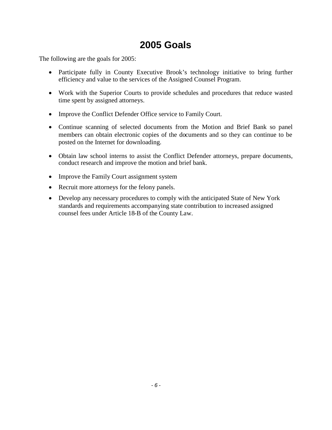## <span id="page-6-0"></span>**2005 Goals**

The following are the goals for 2005:

- Participate fully in County Executive Brook's technology initiative to bring further efficiency and value to the services of the Assigned Counsel Program.
- Work with the Superior Courts to provide schedules and procedures that reduce wasted time spent by assigned attorneys.
- Improve the Conflict Defender Office service to Family Court.
- Continue scanning of selected documents from the Motion and Brief Bank so panel members can obtain electronic copies of the documents and so they can continue to be posted on the Internet for downloading.
- Obtain law school interns to assist the Conflict Defender attorneys, prepare documents, conduct research and improve the motion and brief bank.
- Improve the Family Court assignment system
- Recruit more attorneys for the felony panels.
- Develop any necessary procedures to comply with the anticipated State of New York standards and requirements accompanying state contribution to increased assigned counsel fees under Article 18-B of the County Law.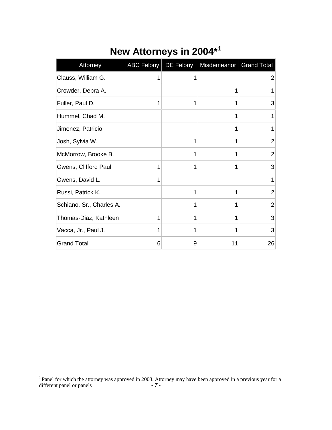| Attorney                 | ABC Felony | DE Felony | Misdemeanor   Grand Total |                |
|--------------------------|------------|-----------|---------------------------|----------------|
| Clauss, William G.       | 1          | 1         |                           | $\overline{2}$ |
| Crowder, Debra A.        |            |           | 1                         |                |
| Fuller, Paul D.          | 1          | 1         | 1                         | 3              |
| Hummel, Chad M.          |            |           | 1                         |                |
| Jimenez, Patricio        |            |           | 1                         |                |
| Josh, Sylvia W.          |            | 1         | 1                         | $\overline{2}$ |
| McMorrow, Brooke B.      |            | 1         | 1                         | $\overline{2}$ |
| Owens, Clifford Paul     | 1          | 1         | 1                         | 3              |
| Owens, David L.          | 1          |           |                           | 1              |
| Russi, Patrick K.        |            | 1         | 1                         | $\overline{2}$ |
| Schiano, Sr., Charles A. |            | 1         | 1                         | 2              |
| Thomas-Diaz, Kathleen    | 1          | 1         | 1                         | 3              |
| Vacca, Jr., Paul J.      | 1          | 1         | 1                         | 3              |
| <b>Grand Total</b>       | 6          | 9         | 11                        | 26             |

# <span id="page-7-0"></span>**New Attorneys in 2004\*<sup>1</sup>**

*<sup>-</sup> 7 -* <sup>1</sup> Panel for which the attorney was approved in 2003. Attorney may have been approved in a previous year for a different panel or panels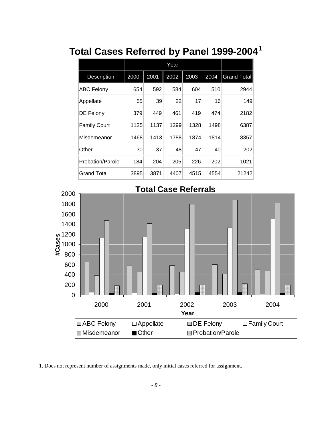|                     | Year |      |      |      |      |                    |
|---------------------|------|------|------|------|------|--------------------|
| <b>Description</b>  | 2000 | 2001 | 2002 | 2003 | 2004 | <b>Grand Total</b> |
| <b>ABC Felony</b>   | 654  | 592  | 584  | 604  | 510  | 2944               |
| Appellate           | 55   | 39   | 22   | 17   | 16   | 149                |
| <b>DE Felony</b>    | 379  | 449  | 461  | 419  | 474  | 2182               |
| <b>Family Court</b> | 1125 | 1137 | 1299 | 1328 | 1498 | 6387               |
| Misdemeanor         | 1468 | 1413 | 1788 | 1874 | 1814 | 8357               |
| Other               | 30   | 37   | 48   | 47   | 40   | 202                |
| Probation/Parole    | 184  | 204  | 205  | 226  | 202  | 1021               |
| <b>Grand Total</b>  | 3895 | 3871 | 4407 | 4515 | 4554 | 21242              |

# <span id="page-8-0"></span>**Total Cases Referred by Panel 1999-2004<sup>1</sup>**



1. Does not represent number of assignments made, only initial cases referred for assignment.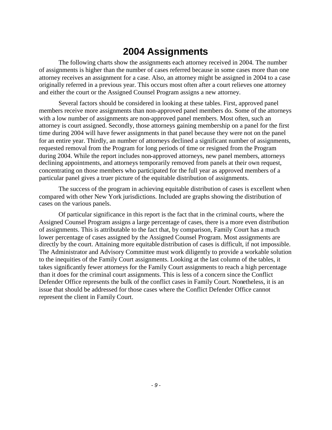### <span id="page-9-0"></span>**2004 Assignments**

The following charts show the assignments each attorney received in 2004. The number of assignments is higher than the number of cases referred because in some cases more than one attorney receives an assignment for a case. Also, an attorney might be assigned in 2004 to a case originally referred in a previous year. This occurs most often after a court relieves one attorney and either the court or the Assigned Counsel Program assigns a new attorney.

Several factors should be considered in looking at these tables. First, approved panel members receive more assignments than non-approved panel members do. Some of the attorneys with a low number of assignments are non-approved panel members. Most often, such an attorney is court assigned. Secondly, those attorneys gaining membership on a panel for the first time during 2004 will have fewer assignments in that panel because they were not on the panel for an entire year. Thirdly, an number of attorneys declined a significant number of assignments, requested removal from the Program for long periods of time or resigned from the Program during 2004. While the report includes non-approved attorneys, new panel members, attorneys declining appointments, and attorneys temporarily removed from panels at their own request, concentrating on those members who participated for the full year as approved members of a particular panel gives a truer picture of the equitable distribution of assignments.

The success of the program in achieving equitable distribution of cases is excellent when compared with other New York jurisdictions. Included are graphs showing the distribution of cases on the various panels.

Of particular significance in this report is the fact that in the criminal courts, where the Assigned Counsel Program assigns a large percentage of cases, there is a more even distribution of assignments. This is attributable to the fact that, by comparison, Family Court has a much lower percentage of cases assigned by the Assigned Counsel Program. Most assignments are directly by the court. Attaining more equitable distribution of cases is difficult, if not impossible. The Administrator and Advisory Committee must work diligently to provide a workable solution to the inequities of the Family Court assignments. Looking at the last column of the tables, it takes significantly fewer attorneys for the Family Court assignments to reach a high percentage than it does for the criminal court assignments. This is less of a concern since the Conflict Defender Office represents the bulk of the conflict cases in Family Court. Nonetheless, it is an issue that should be addressed for those cases where the Conflict Defender Office cannot represent the client in Family Court.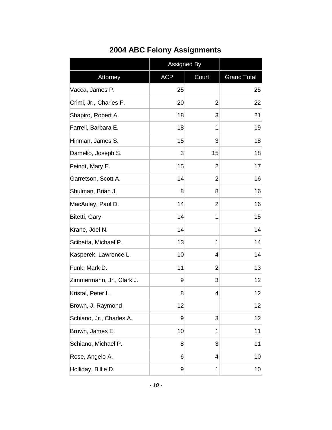|                           | Assigned By |                |                    |
|---------------------------|-------------|----------------|--------------------|
| Attorney                  | <b>ACP</b>  | Court          | <b>Grand Total</b> |
| Vacca, James P.           | 25          |                | 25                 |
| Crimi, Jr., Charles F.    | 20          | $\overline{2}$ | 22                 |
| Shapiro, Robert A.        | 18          | 3              | 21                 |
| Farrell, Barbara E.       | 18          | 1              | 19                 |
| Hinman, James S.          | 15          | 3              | 18                 |
| Damelio, Joseph S.        | 3           | 15             | 18                 |
| Feindt, Mary E.           | 15          | $\overline{2}$ | 17                 |
| Garretson, Scott A.       | 14          | $\overline{2}$ | 16                 |
| Shulman, Brian J.         | 8           | 8              | 16                 |
| MacAulay, Paul D.         | 14          | 2              | 16                 |
| Bitetti, Gary             | 14          | 1              | 15                 |
| Krane, Joel N.            | 14          |                | 14                 |
| Scibetta, Michael P.      | 13          | 1              | 14                 |
| Kasperek, Lawrence L.     | 10          | 4              | 14                 |
| Funk, Mark D.             | 11          | 2              | 13                 |
| Zimmermann, Jr., Clark J. | 9           | 3              | 12                 |
| Kristal, Peter L.         | 8           | 4              | 12                 |
| Brown, J. Raymond         | 12          |                | 12                 |
| Schiano, Jr., Charles A.  | 9           | 3              | 12                 |
| Brown, James E.           | 10          | 1              | 11                 |
| Schiano, Michael P.       | 8           | 3              | 11                 |
| Rose, Angelo A.           | 6           | 4              | 10                 |
| Holliday, Billie D.       | 9           | 1              | 10 <sup>1</sup>    |

### <span id="page-10-0"></span>**2004 ABC Felony Assignments**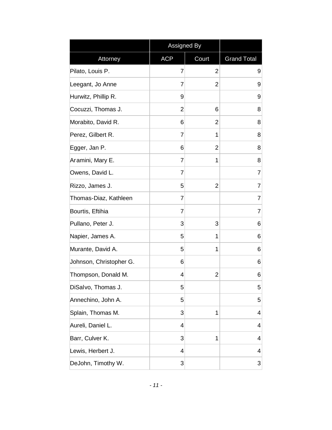|                         | Assigned By |                |                    |
|-------------------------|-------------|----------------|--------------------|
| Attorney                | <b>ACP</b>  | Court          | <b>Grand Total</b> |
| Pilato, Louis P.        | 7           | $\overline{2}$ | 9                  |
| Leegant, Jo Anne        | 7           | 2              | 9                  |
| Hurwitz, Phillip R.     | 9           |                | 9                  |
| Cocuzzi, Thomas J.      | 2           | 6              | 8                  |
| Morabito, David R.      | 6           | $\overline{2}$ | 8                  |
| Perez, Gilbert R.       | 7           | 1              | 8                  |
| Egger, Jan P.           | 6           | 2              | 8                  |
| Aramini, Mary E.        | 7           | 1              | 8                  |
| Owens, David L.         | 7           |                | 7                  |
| Rizzo, James J.         | 5           | $\overline{2}$ | 7                  |
| Thomas-Diaz, Kathleen   | 7           |                | 7                  |
| Bourtis, Eftihia        | 7           |                | 7                  |
| Pullano, Peter J.       | 3           | 3              | 6                  |
| Napier, James A.        | 5           | 1              | 6                  |
| Murante, David A.       | 5           | 1              | 6                  |
| Johnson, Christopher G. | 6           |                | 6                  |
| Thompson, Donald M.     | 4           | 2              | 6                  |
| DiSalvo, Thomas J.      | 5           |                | 5                  |
| Annechino, John A.      | 5           |                | 5                  |
| Splain, Thomas M.       | 3           | 1              | 4                  |
| Aureli, Daniel L.       | 4           |                | 4                  |
| Barr, Culver K.         | 3           | 1              | 4                  |
| Lewis, Herbert J.       | 4           |                | 4                  |
| DeJohn, Timothy W.      | 3           |                | 3                  |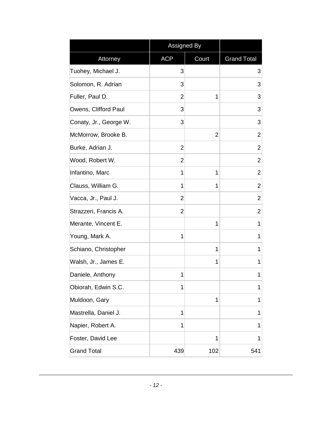|                        | Assigned By    |       |                    |
|------------------------|----------------|-------|--------------------|
| Attorney               | <b>ACP</b>     | Court | <b>Grand Total</b> |
| Tuohey, Michael J.     | 3              |       | 3                  |
| Solomon, R. Adrian     | 3              |       | 3                  |
| Fuller, Paul D.        | $\overline{2}$ | 1     | 3                  |
| Owens, Clifford Paul   | 3              |       | 3                  |
| Conaty, Jr., George W. | 3              |       | 3                  |
| McMorrow, Brooke B.    |                | 2     | $\overline{2}$     |
| Burke, Adrian J.       | $\overline{2}$ |       | $\overline{2}$     |
| Wood, Robert W.        | $\overline{2}$ |       | $\overline{2}$     |
| Infantino, Marc        | 1              | 1     | $\overline{2}$     |
| Clauss, William G.     | 1              | 1     | $\overline{2}$     |
| Vacca, Jr., Paul J.    | $\overline{2}$ |       | $\overline{2}$     |
| Strazzeri, Francis A.  | $\overline{2}$ |       | $\overline{2}$     |
| Merante, Vincent E.    |                | 1     | 1                  |
| Young, Mark A.         | 1              |       | 1                  |
| Schiano, Christopher   |                | 1     | 1                  |
| Walsh, Jr., James E.   |                | 1     | 1                  |
| Daniele, Anthony       | 1              |       | 1                  |
| Obiorah, Edwin S.C.    | 1              |       | 1                  |
| Muldoon, Gary          |                | 1     | 1                  |
| Mastrella, Daniel J.   | 1              |       | 1                  |
| Napier, Robert A.      | 1              |       | 1                  |
| Foster, David Lee      |                | 1     | 1                  |
| <b>Grand Total</b>     | 439            | 102   | 541                |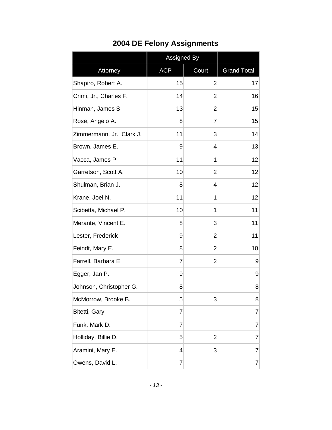|                           | <b>Assigned By</b> |                |                    |
|---------------------------|--------------------|----------------|--------------------|
| Attorney                  | <b>ACP</b>         | Court          | <b>Grand Total</b> |
| Shapiro, Robert A.        | 15                 | $\overline{2}$ | 17                 |
| Crimi, Jr., Charles F.    | 14                 | $\overline{2}$ | 16                 |
| Hinman, James S.          | 13                 | 2              | 15                 |
| Rose, Angelo A.           | 8                  | 7              | 15                 |
| Zimmermann, Jr., Clark J. | 11                 | 3              | 14                 |
| Brown, James E.           | 9                  | 4              | 13                 |
| Vacca, James P.           | 11                 | 1              | 12                 |
| Garretson, Scott A.       | 10                 | 2              | 12                 |
| Shulman, Brian J.         | 8                  | 4              | 12                 |
| Krane, Joel N.            | 11                 | 1              | 12                 |
| Scibetta, Michael P.      | 10                 | 1              | 11                 |
| Merante, Vincent E.       | 8                  | 3              | 11                 |
| Lester, Frederick         | 9                  | 2              | 11                 |
| Feindt, Mary E.           | 8                  | $\overline{2}$ | 10                 |
| Farrell, Barbara E.       | $\overline{7}$     | $\overline{2}$ | 9                  |
| Egger, Jan P.             | 9                  |                | 9                  |
| Johnson, Christopher G.   | 8                  |                | 8                  |
| McMorrow, Brooke B.       | 5                  | 3              | 8                  |
| Bitetti, Gary             | 7                  |                | 7                  |
| Funk, Mark D.             | $\overline{7}$     |                | 7                  |
| Holliday, Billie D.       | 5                  | $\overline{2}$ | 7                  |
| Aramini, Mary E.          | 4                  | 3              | 7                  |
| Owens, David L.           | 7                  |                | 7                  |

## <span id="page-13-0"></span>**2004 DE Felony Assignments**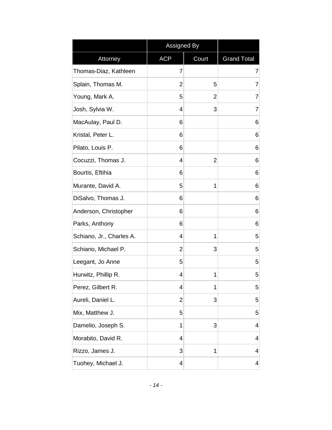|                          | Assigned By |       |                    |
|--------------------------|-------------|-------|--------------------|
| Attorney                 | <b>ACP</b>  | Court | <b>Grand Total</b> |
| Thomas-Diaz, Kathleen    | 7           |       | 7                  |
| Splain, Thomas M.        | 2           | 5     | 7                  |
| Young, Mark A.           | 5           | 2     | $\overline{7}$     |
| Josh, Sylvia W.          | 4           | 3     | $\overline{7}$     |
| MacAulay, Paul D.        | 6           |       | 6                  |
| Kristal, Peter L.        | 6           |       | 6                  |
| Pilato, Louis P.         | 6           |       | 6                  |
| Cocuzzi, Thomas J.       | 4           | 2     | 6                  |
| Bourtis, Eftihia         | 6           |       | 6                  |
| Murante, David A.        | 5           | 1     | 6                  |
| DiSalvo, Thomas J.       | 6           |       | 6                  |
| Anderson, Christopher    | 6           |       | 6                  |
| Parks, Anthony           | 6           |       | 6                  |
| Schiano, Jr., Charles A. | 4           | 1     | 5                  |
| Schiano, Michael P.      | 2           | 3     | 5                  |
| Leegant, Jo Anne         | 5           |       | 5                  |
| Hurwitz, Phillip R.      | 4           | 1     | 5                  |
| Perez, Gilbert R.        | 4           | 1     | 5                  |
| Aureli, Daniel L.        | 2           | 3     | 5                  |
| Mix, Matthew J.          | 5           |       | 5                  |
| Damelio, Joseph S.       | 1           | 3     | 4                  |
| Morabito, David R.       | 4           |       | 4                  |
| Rizzo, James J.          | 3           | 1     | 4                  |
| Tuohey, Michael J.       | 4           |       | 4                  |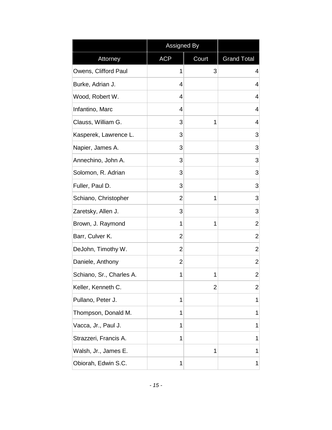|                          | Assigned By |       |                    |
|--------------------------|-------------|-------|--------------------|
| Attorney                 | <b>ACP</b>  | Court | <b>Grand Total</b> |
| Owens, Clifford Paul     | 1           | 3     | $\overline{4}$     |
| Burke, Adrian J.         | 4           |       | $\overline{4}$     |
| Wood, Robert W.          | 4           |       | $\overline{4}$     |
| Infantino, Marc          | 4           |       | $\overline{4}$     |
| Clauss, William G.       | 3           | 1     | $\overline{4}$     |
| Kasperek, Lawrence L.    | 3           |       | 3                  |
| Napier, James A.         | 3           |       | 3                  |
| Annechino, John A.       | 3           |       | 3                  |
| Solomon, R. Adrian       | 3           |       | 3                  |
| Fuller, Paul D.          | 3           |       | 3                  |
| Schiano, Christopher     | 2           | 1     | 3                  |
| Zaretsky, Allen J.       | 3           |       | 3                  |
| Brown, J. Raymond        | 1           | 1     | $\overline{2}$     |
| Barr, Culver K.          | 2           |       | $\overline{2}$     |
| DeJohn, Timothy W.       | 2           |       | $\overline{2}$     |
| Daniele, Anthony         | 2           |       | $\overline{2}$     |
| Schiano, Sr., Charles A. | 1           | 1     | $\overline{2}$     |
| Keller, Kenneth C.       |             | 2     | 2                  |
| Pullano, Peter J.        | 1           |       | 1                  |
| Thompson, Donald M.      | 1           |       | 1                  |
| Vacca, Jr., Paul J.      | 1           |       | 1                  |
| Strazzeri, Francis A.    | 1           |       | 1                  |
| Walsh, Jr., James E.     |             | 1     | 1                  |
| Obiorah, Edwin S.C.      | 1           |       | 1                  |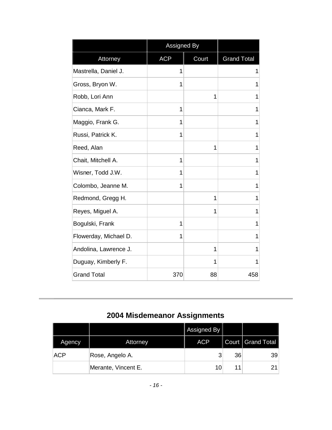|                       | Assigned By |       |                    |
|-----------------------|-------------|-------|--------------------|
| Attorney              | <b>ACP</b>  | Court | <b>Grand Total</b> |
| Mastrella, Daniel J.  | 1           |       | 1                  |
| Gross, Bryon W.       | 1           |       | 1                  |
| Robb, Lori Ann        |             | 1     | 1                  |
| Cianca, Mark F.       | 1           |       | 1                  |
| Maggio, Frank G.      | 1           |       | 1                  |
| Russi, Patrick K.     | 1           |       | 1                  |
| Reed, Alan            |             | 1     | 1                  |
| Chait, Mitchell A.    | 1           |       | 1                  |
| Wisner, Todd J.W.     | 1           |       | 1                  |
| Colombo, Jeanne M.    | 1           |       | 1                  |
| Redmond, Gregg H.     |             | 1     | 1                  |
| Reyes, Miguel A.      |             | 1     | 1                  |
| Bogulski, Frank       | 1           |       | 1                  |
| Flowerday, Michael D. | 1           |       | 1                  |
| Andolina, Lawrence J. |             | 1     | 1                  |
| Duguay, Kimberly F.   |             | 1     | 1                  |
| <b>Grand Total</b>    | 370         | 88    | 458                |

## <span id="page-16-0"></span>**2004 Misdemeanor Assignments**

|            |                     | Assigned By |    |                     |
|------------|---------------------|-------------|----|---------------------|
| Agency     | <b>Attorney</b>     | <b>ACP</b>  |    | Court   Grand Total |
| <b>ACP</b> | Rose, Angelo A.     | 2           | 36 | 39                  |
|            | Merante, Vincent E. | 10          |    | 21                  |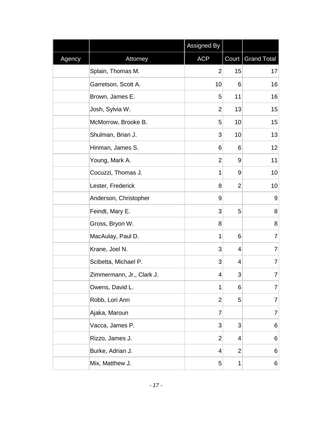|        |                           | Assigned By    |    |                     |
|--------|---------------------------|----------------|----|---------------------|
| Agency | Attorney                  | <b>ACP</b>     |    | Court   Grand Total |
|        | Splain, Thomas M.         | $\overline{2}$ | 15 | 17                  |
|        | Garretson, Scott A.       | 10             | 6  | 16                  |
|        | Brown, James E.           | 5              | 11 | 16                  |
|        | Josh, Sylvia W.           | $\overline{2}$ | 13 | 15                  |
|        | McMorrow, Brooke B.       | 5              | 10 | 15                  |
|        | Shulman, Brian J.         | 3              | 10 | 13                  |
|        | Hinman, James S.          | 6              | 6  | 12                  |
|        | Young, Mark A.            | 2              | 9  | 11                  |
|        | Cocuzzi, Thomas J.        | 1              | 9  | 10                  |
|        | Lester, Frederick         | 8              | 2  | 10                  |
|        | Anderson, Christopher     | 9              |    | 9                   |
|        | Feindt, Mary E.           | 3              | 5  | 8                   |
|        | Gross, Bryon W.           | 8              |    | 8                   |
|        | MacAulay, Paul D.         | 1              | 6  | $\overline{7}$      |
|        | Krane, Joel N.            | 3              | 4  | $\overline{7}$      |
|        | Scibetta, Michael P.      | 3              | 4  | 7                   |
|        | Zimmermann, Jr., Clark J. | 4              | 3  | 7                   |
|        | Owens, David L.           | 1              | 6  | 7                   |
|        | Robb, Lori Ann            | $\overline{2}$ | 5  | 7                   |
|        | Ajaka, Maroun             | 7              |    | $\overline{7}$      |
|        | Vacca, James P.           | 3              | 3  | 6                   |
|        | Rizzo, James J.           | 2              | 4  | 6                   |
|        | Burke, Adrian J.          | 4              | 2  | 6                   |
|        | Mix, Matthew J.           | 5              | 1  | 6                   |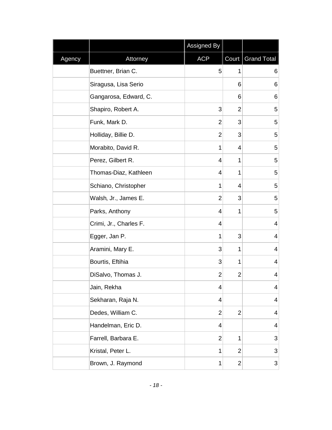|        |                        | <b>Assigned By</b> |                |                     |
|--------|------------------------|--------------------|----------------|---------------------|
| Agency | Attorney               | <b>ACP</b>         |                | Court   Grand Total |
|        | Buettner, Brian C.     | 5                  | 1              | 6                   |
|        | Siragusa, Lisa Serio   |                    | 6              | 6                   |
|        | Gangarosa, Edward, C.  |                    | 6              | 6                   |
|        | Shapiro, Robert A.     | 3                  | 2              | 5                   |
|        | Funk, Mark D.          | 2                  | 3              | 5                   |
|        | Holliday, Billie D.    | $\overline{2}$     | 3              | 5                   |
|        | Morabito, David R.     | 1                  | 4              | $\mathbf 5$         |
|        | Perez, Gilbert R.      | 4                  | 1              | 5                   |
|        | Thomas-Diaz, Kathleen  | 4                  | 1              | 5                   |
|        | Schiano, Christopher   | 1                  | 4              | 5                   |
|        | Walsh, Jr., James E.   | $\overline{2}$     | 3              | 5                   |
|        | Parks, Anthony         | 4                  | 1              | $\mathbf 5$         |
|        | Crimi, Jr., Charles F. | 4                  |                | 4                   |
|        | Egger, Jan P.          | 1                  | 3              | 4                   |
|        | Aramini, Mary E.       | 3                  | 1              | 4                   |
|        | Bourtis, Eftihia       | 3                  | 1              | 4                   |
|        | DiSalvo, Thomas J.     | $\overline{2}$     | 2              | 4                   |
|        | Jain, Rekha            | 4                  |                | 4                   |
|        | Sekharan, Raja N.      | 4                  |                | 4                   |
|        | Dedes, William C.      | 2                  | $\overline{2}$ | 4                   |
|        | Handelman, Eric D.     | 4                  |                | 4                   |
|        | Farrell, Barbara E.    | $\overline{2}$     | 1              | 3                   |
|        | Kristal, Peter L.      | 1                  | $\overline{2}$ | 3                   |
|        | Brown, J. Raymond      | 1                  | $\overline{2}$ | 3                   |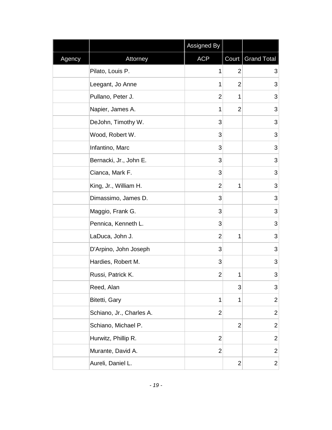|        |                          | Assigned By    |                |                     |
|--------|--------------------------|----------------|----------------|---------------------|
| Agency | Attorney                 | <b>ACP</b>     |                | Court   Grand Total |
|        | Pilato, Louis P.         | 1              | 2              | 3                   |
|        | Leegant, Jo Anne         | 1              | 2              | 3                   |
|        | Pullano, Peter J.        | $\overline{2}$ | 1              | 3                   |
|        | Napier, James A.         | 1              | $\overline{2}$ | 3                   |
|        | DeJohn, Timothy W.       | 3              |                | 3                   |
|        | Wood, Robert W.          | 3              |                | 3                   |
|        | Infantino, Marc          | 3              |                | 3                   |
|        | Bernacki, Jr., John E.   | 3              |                | 3                   |
|        | Cianca, Mark F.          | 3              |                | 3                   |
|        | King, Jr., William H.    | 2              | 1              | 3                   |
|        | Dimassimo, James D.      | 3              |                | 3                   |
|        | Maggio, Frank G.         | 3              |                | 3                   |
|        | Pennica, Kenneth L.      | 3              |                | 3                   |
|        | LaDuca, John J.          | $\overline{2}$ | 1              | $\mathsf 3$         |
|        | D'Arpino, John Joseph    | 3              |                | $\mathsf 3$         |
|        | Hardies, Robert M.       | 3              |                | 3                   |
|        | Russi, Patrick K.        | 2              | 1              | 3                   |
|        | Reed, Alan               |                | 3              | 3                   |
|        | Bitetti, Gary            | 1              | 1              | $\overline{2}$      |
|        | Schiano, Jr., Charles A. | $\overline{2}$ |                | $\overline{2}$      |
|        | Schiano, Michael P.      |                | $\overline{2}$ | $\mathbf{2}$        |
|        | Hurwitz, Phillip R.      | $\overline{2}$ |                | $\mathbf 2$         |
|        | Murante, David A.        | $\overline{2}$ |                | $\overline{2}$      |
|        | Aureli, Daniel L.        |                | $\overline{2}$ | $\overline{c}$      |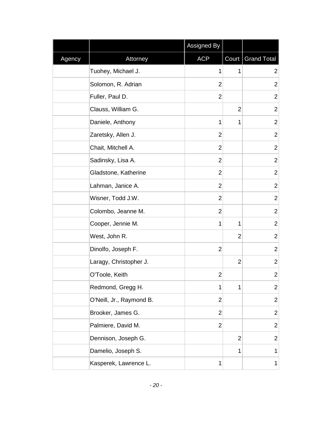|        |                          | Assigned By    |                |                     |
|--------|--------------------------|----------------|----------------|---------------------|
| Agency | Attorney                 | <b>ACP</b>     |                | Court   Grand Total |
|        | Tuohey, Michael J.       | 1              | 1              | $\overline{2}$      |
|        | Solomon, R. Adrian       | $\overline{2}$ |                | $\overline{2}$      |
|        | Fuller, Paul D.          | $\overline{2}$ |                | $\overline{2}$      |
|        | Clauss, William G.       |                | $\overline{2}$ | $\overline{2}$      |
|        | Daniele, Anthony         | 1              | 1              | $\overline{2}$      |
|        | Zaretsky, Allen J.       | $\overline{2}$ |                | $\overline{2}$      |
|        | Chait, Mitchell A.       | $\overline{2}$ |                | $\overline{2}$      |
|        | Sadinsky, Lisa A.        | $\overline{2}$ |                | $\mathbf{2}$        |
|        | Gladstone, Katherine     | $\overline{2}$ |                | $\overline{c}$      |
|        | Lahman, Janice A.        | $\overline{2}$ |                | $\overline{c}$      |
|        | Wisner, Todd J.W.        | $\overline{2}$ |                | $\overline{2}$      |
|        | Colombo, Jeanne M.       | $\overline{2}$ |                | $\overline{2}$      |
|        | Cooper, Jennie M.        | 1              | 1              | $\overline{2}$      |
|        | West, John R.            |                | $\overline{2}$ | $\overline{2}$      |
|        | Dinolfo, Joseph F.       | $\overline{2}$ |                | $\overline{2}$      |
|        | Laragy, Christopher J.   |                | $\overline{2}$ | $\overline{2}$      |
|        | O'Toole, Keith           | $\overline{2}$ |                | $\overline{2}$      |
|        | Redmond, Gregg H.        | 1              | 1              | $\overline{c}$      |
|        | O'Neill, Jr., Raymond B. | $\overline{2}$ |                | $\mathbf{2}$        |
|        | Brooker, James G.        | $\overline{2}$ |                | $\mathbf{2}$        |
|        | Palmiere, David M.       | $\overline{2}$ |                | $\overline{2}$      |
|        | Dennison, Joseph G.      |                | $\overline{2}$ | $\overline{2}$      |
|        | Damelio, Joseph S.       |                | 1              | $\mathbf{1}$        |
|        | Kasperek, Lawrence L.    | 1              |                | $\mathbf 1$         |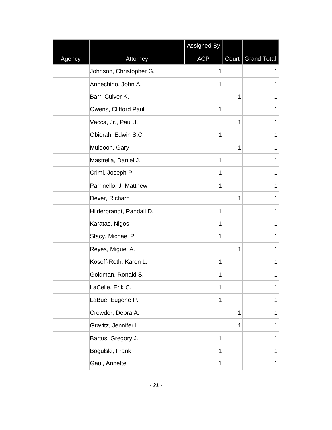|        |                          | Assigned By |   |                     |
|--------|--------------------------|-------------|---|---------------------|
| Agency | Attorney                 | <b>ACP</b>  |   | Court   Grand Total |
|        | Johnson, Christopher G.  | 1           |   | 1                   |
|        | Annechino, John A.       | 1           |   | 1                   |
|        | Barr, Culver K.          |             | 1 | 1                   |
|        | Owens, Clifford Paul     | 1           |   | 1                   |
|        | Vacca, Jr., Paul J.      |             | 1 | 1                   |
|        | Obiorah, Edwin S.C.      | 1           |   | 1                   |
|        | Muldoon, Gary            |             | 1 | 1                   |
|        | Mastrella, Daniel J.     | 1           |   | 1                   |
|        | Crimi, Joseph P.         | 1           |   | 1                   |
|        | Parrinello, J. Matthew   | 1           |   | 1                   |
|        | Dever, Richard           |             | 1 | 1                   |
|        | Hilderbrandt, Randall D. | 1           |   | 1                   |
|        | Karatas, Nigos           | 1           |   | 1                   |
|        | Stacy, Michael P.        | 1           |   | 1                   |
|        | Reyes, Miguel A.         |             | 1 | 1                   |
|        | Kosoff-Roth, Karen L.    | 1           |   | 1                   |
|        | Goldman, Ronald S.       | 1           |   | 1                   |
|        | LaCelle, Erik C.         | 1           |   | 1                   |
|        | LaBue, Eugene P.         | 1           |   | $\mathbf{1}$        |
|        | Crowder, Debra A.        |             | 1 | $\mathbf 1$         |
|        | Gravitz, Jennifer L.     |             | 1 | 1                   |
|        | Bartus, Gregory J.       | 1           |   | 1                   |
|        | Bogulski, Frank          | 1           |   | $\mathbf{1}$        |
|        | Gaul, Annette            | 1           |   | $\mathbf 1$         |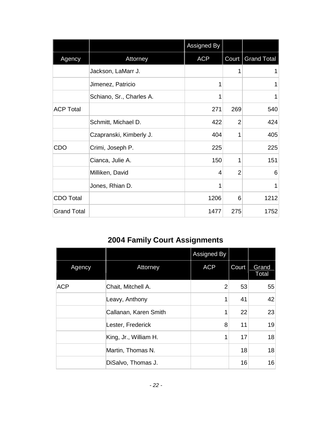|                    |                          | Assigned By |                |                     |
|--------------------|--------------------------|-------------|----------------|---------------------|
| Agency             | Attorney                 | <b>ACP</b>  |                | Court   Grand Total |
|                    | Jackson, LaMarr J.       |             | 1              | 1                   |
|                    | Jimenez, Patricio        | 1           |                | 1                   |
|                    | Schiano, Sr., Charles A. | 1           |                | 1                   |
| <b>ACP Total</b>   |                          | 271         | 269            | 540                 |
|                    | Schmitt, Michael D.      | 422         | $\overline{2}$ | 424                 |
|                    | Czapranski, Kimberly J.  | 404         | 1              | 405                 |
| CDO                | Crimi, Joseph P.         | 225         |                | 225                 |
|                    | Cianca, Julie A.         | 150         | 1              | 151                 |
|                    | Milliken, David          | 4           | $\overline{2}$ | 6                   |
|                    | Jones, Rhian D.          | 1           |                | 1                   |
| <b>CDO Total</b>   |                          | 1206        | 6              | 1212                |
| <b>Grand Total</b> |                          | 1477        | 275            | 1752                |

## <span id="page-22-0"></span>**2004 Family Court Assignments**

|            |                       | Assigned By |       |                |
|------------|-----------------------|-------------|-------|----------------|
| Agency     | Attorney              | <b>ACP</b>  | Court | Grand<br>Total |
| <b>ACP</b> | Chait, Mitchell A.    | 2           | 53    | 55             |
|            | Leavy, Anthony        | $\mathbf 1$ | 41    | 42             |
|            | Callanan, Karen Smith | $\mathbf 1$ | 22    | 23             |
|            | Lester, Frederick     | 8           | 11    | 19             |
|            | King, Jr., William H. | 1           | 17    | 18             |
|            | Martin, Thomas N.     |             | 18    | 18             |
|            | DiSalvo, Thomas J.    |             | 16    | 16             |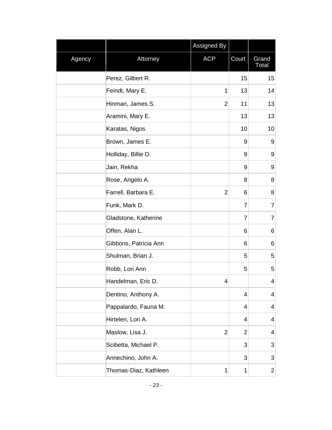|        |                       | <b>Assigned By</b> |                |                         |
|--------|-----------------------|--------------------|----------------|-------------------------|
| Agency | Attorney              | <b>ACP</b>         | Court          | Grand<br>Total          |
|        | Perez, Gilbert R.     |                    | 15             | 15                      |
|        | Feindt, Mary E.       | 1                  | 13             | 14                      |
|        | Hinman, James S.      | $\overline{2}$     | 11             | 13                      |
|        | Aramini, Mary E.      |                    | 13             | 13                      |
|        | Karatas, Nigos        |                    | 10             | 10                      |
|        | Brown, James E.       |                    | 9              | 9                       |
|        | Holliday, Billie D.   |                    | 9              | $\boldsymbol{9}$        |
|        | Jain, Rekha           |                    | 9              | 9                       |
|        | Rose, Angelo A.       |                    | 8              | 8                       |
|        | Farrell, Barbara E.   | $\overline{2}$     | 6              | 8                       |
|        | Funk, Mark D.         |                    | $\overline{7}$ | $\overline{7}$          |
|        | Gladstone, Katherine  |                    | $\overline{7}$ | 7                       |
|        | Offen, Alan L.        |                    | 6              | 6                       |
|        | Gibbons, Patricia Ann |                    | 6              | 6                       |
|        | Shulman, Brian J.     |                    | 5              | 5                       |
|        | Robb, Lori Ann        |                    | 5              | 5                       |
|        | Handelman, Eric D.    | 4                  |                | 4                       |
|        | Dentino, Anthony A.   |                    | 4              | $\overline{\mathbf{4}}$ |
|        | Pappalardo, Fauna M.  |                    | 4              | 4                       |
|        | Hirtelen, Lori A.     |                    | 4              | 4                       |
|        | Maslow, Lisa J.       | $\overline{2}$     | $\overline{2}$ | 4                       |
|        | Scibetta, Michael P.  |                    | 3              | 3                       |
|        | Annechino, John A.    |                    | 3              | 3                       |
|        | Thomas-Diaz, Kathleen | 1                  | $\mathbf{1}$   | $\overline{\mathbf{c}}$ |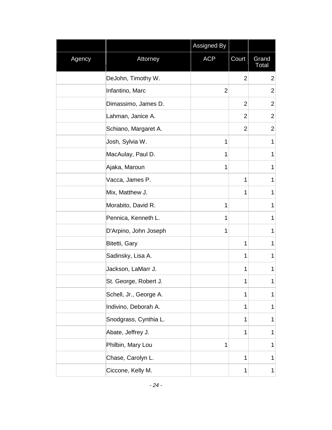|        |                        | Assigned By    |                |                       |
|--------|------------------------|----------------|----------------|-----------------------|
| Agency | Attorney               | <b>ACP</b>     | Court          | Grand<br><b>Total</b> |
|        | DeJohn, Timothy W.     |                | $\overline{2}$ | $\overline{2}$        |
|        | Infantino, Marc        | $\overline{2}$ |                | $\overline{2}$        |
|        | Dimassimo, James D.    |                | $\overline{2}$ | $\overline{2}$        |
|        | Lahman, Janice A.      |                | $\overline{2}$ | $\overline{2}$        |
|        | Schiano, Margaret A.   |                | $\overline{2}$ | $\overline{2}$        |
|        | Josh, Sylvia W.        | 1              |                | 1                     |
|        | MacAulay, Paul D.      | 1              |                | 1                     |
|        | Ajaka, Maroun          | 1              |                | 1                     |
|        | Vacca, James P.        |                | 1              | 1                     |
|        | Mix, Matthew J.        |                | 1              | $\mathbf 1$           |
|        | Morabito, David R.     | 1              |                | $\mathbf 1$           |
|        | Pennica, Kenneth L.    | 1              |                | 1                     |
|        | D'Arpino, John Joseph  | 1              |                | $\mathbf 1$           |
|        | Bitetti, Gary          |                | 1              | 1                     |
|        | Sadinsky, Lisa A.      |                | $\mathbf{1}$   | $\mathbf 1$           |
|        | Jackson, LaMarr J.     |                | 1              | $\mathbf 1$           |
|        | St. George, Robert J.  |                | 1              | 1                     |
|        | Schell, Jr., George A. |                | 1              | 1                     |
|        | Indivino, Deborah A.   |                | 1              | 1                     |
|        | Snodgrass, Cynthia L.  |                | 1              | 1                     |
|        | Abate, Jeffrey J.      |                | $\mathbf 1$    | 1                     |
|        | Philbin, Mary Lou      | 1              |                | $\mathbf 1$           |
|        | Chase, Carolyn L.      |                | $\mathbf 1$    | 1                     |
|        | Ciccone, Kelly M.      |                | 1              | $\mathbf 1$           |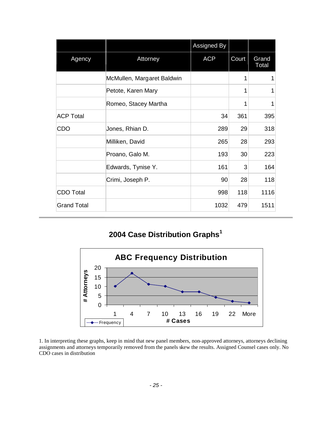|                    |                            | Assigned By |       |                |
|--------------------|----------------------------|-------------|-------|----------------|
| Agency             | Attorney                   | <b>ACP</b>  | Court | Grand<br>Total |
|                    | McMullen, Margaret Baldwin |             | 1     | 1              |
|                    | Petote, Karen Mary         |             | 1     | 1              |
|                    | Romeo, Stacey Martha       |             | 1     | 1              |
| <b>ACP Total</b>   |                            | 34          | 361   | 395            |
| <b>CDO</b>         | Jones, Rhian D.            | 289         | 29    | 318            |
|                    | Milliken, David            | 265         | 28    | 293            |
|                    | Proano, Galo M.            | 193         | 30    | 223            |
|                    | Edwards, Tynise Y.         | 161         | 3     | 164            |
|                    | Crimi, Joseph P.           | 90          | 28    | 118            |
| <b>CDO Total</b>   |                            | 998         | 118   | 1116           |
| <b>Grand Total</b> |                            | 1032        | 479   | 1511           |

#### <span id="page-25-0"></span>**2004 Case Distribution Graphs<sup>1</sup>**



1. In interpreting these graphs, keep in mind that new panel members, non-approved attorneys, attorneys declining assignments and attorneys temporarily removed from the panels skew the results. Assigned Counsel cases only. No CDO cases in distribution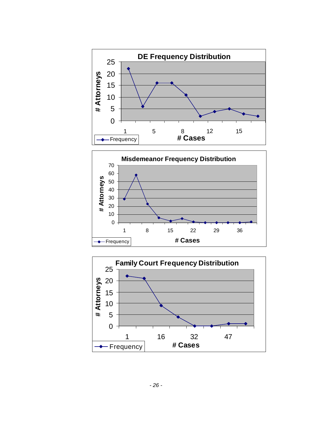



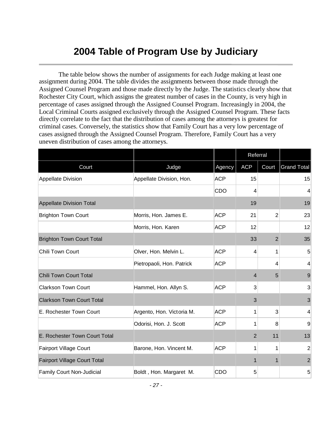## <span id="page-27-0"></span>**2004 Table of Program Use by Judiciary**

The table below shows the number of assignments for each Judge making at least one assignment during 2004. The table divides the assignments between those made through the Assigned Counsel Program and those made directly by the Judge. The statistics clearly show that Rochester City Court, which assigns the greatest number of cases in the County, is very high in percentage of cases assigned through the Assigned Counsel Program. Increasingly in 2004, the Local Criminal Courts assigned exclusively through the Assigned Counsel Program. These facts directly correlate to the fact that the distribution of cases among the attorneys is greatest for criminal cases. Conversely, the statistics show that Family Court has a very low percentage of cases assigned through the Assigned Counsel Program. Therefore, Family Court has a very uneven distribution of cases among the attorneys.

|                                     |                           |            | Referral       |                |                    |
|-------------------------------------|---------------------------|------------|----------------|----------------|--------------------|
| Court                               | Judge                     | Agency     | <b>ACP</b>     | Court          | <b>Grand Total</b> |
| Appellate Division                  | Appellate Division, Hon.  | <b>ACP</b> | 15             |                | 15                 |
|                                     |                           | CDO        | 4              |                | 4                  |
| <b>Appellate Division Total</b>     |                           |            | 19             |                | 19                 |
| <b>Brighton Town Court</b>          | Morris, Hon. James E.     | <b>ACP</b> | 21             | $\overline{2}$ | 23                 |
|                                     | Morris, Hon. Karen        | <b>ACP</b> | 12             |                | 12                 |
| <b>Brighton Town Court Total</b>    |                           |            | 33             | $\overline{2}$ | 35                 |
| Chili Town Court                    | Olver, Hon. Melvin L.     | <b>ACP</b> | 4              | 1              | 5                  |
|                                     | Pietropaoli, Hon. Patrick | <b>ACP</b> |                | $\overline{4}$ | 4                  |
| <b>Chili Town Court Total</b>       |                           |            | $\overline{4}$ | 5              | 9                  |
| <b>Clarkson Town Court</b>          | Hammel, Hon. Allyn S.     | <b>ACP</b> | 3              |                | 3 <sup>1</sup>     |
| <b>Clarkson Town Court Total</b>    |                           |            | 3              |                | 3                  |
| E. Rochester Town Court             | Argento, Hon. Victoria M. | <b>ACP</b> | 1              | 3              | $\overline{4}$     |
|                                     | Odorisi, Hon. J. Scott    | <b>ACP</b> | 1              | 8              | 9                  |
| E. Rochester Town Court Total       |                           |            | $\overline{2}$ | 11             | 13                 |
| <b>Fairport Village Court</b>       | Barone, Hon. Vincent M.   | <b>ACP</b> | 1              | 1              | $\overline{2}$     |
| <b>Fairport Village Court Total</b> |                           |            | 1              | $\mathbf 1$    | $\overline{2}$     |
| Family Court Non-Judicial           | Boldt, Hon. Margaret M.   | CDO        | 5              |                | 5                  |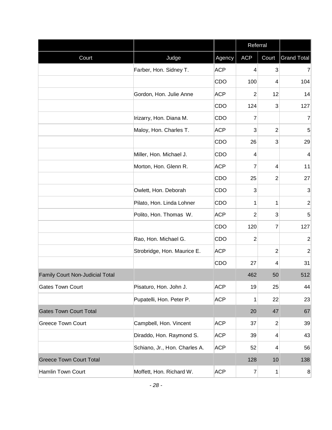|                                 |                               |            | Referral         |                |                    |
|---------------------------------|-------------------------------|------------|------------------|----------------|--------------------|
| Court                           | Judge                         | Agency     | <b>ACP</b>       | Court          | <b>Grand Total</b> |
|                                 | Farber, Hon. Sidney T.        | <b>ACP</b> | $\overline{4}$   | 3              | $\overline{7}$     |
|                                 |                               | CDO        | 100              | 4              | 104                |
|                                 | Gordon, Hon. Julie Anne       | <b>ACP</b> | 2                | 12             | 14                 |
|                                 |                               | CDO        | 124              | 3              | 127                |
|                                 | Irizarry, Hon. Diana M.       | CDO        | 7                |                | 7                  |
|                                 | Maloy, Hon. Charles T.        | <b>ACP</b> | 3                | $\mathbf 2$    | 5                  |
|                                 |                               | CDO        | 26               | 3              | 29                 |
|                                 | Miller, Hon. Michael J.       | CDO        | 4                |                | 4                  |
|                                 | Morton, Hon. Glenn R.         | <b>ACP</b> | 7                | 4              | 11                 |
|                                 |                               | CDO        | 25               | $\overline{2}$ | 27                 |
|                                 | Owlett, Hon. Deborah          | CDO        | 3                |                | 3                  |
|                                 | Pilato, Hon. Linda Lohner     | CDO        | 1                | 1              | $\overline{2}$     |
|                                 | Polito, Hon. Thomas W.        | <b>ACP</b> | 2                | 3              | 5                  |
|                                 |                               | CDO        | 120              | 7              | 127                |
|                                 | Rao, Hon. Michael G.          | CDO        | $\overline{2}$   |                | $\overline{2}$     |
|                                 | Strobridge, Hon. Maurice E.   | <b>ACP</b> |                  | 2              | $\overline{2}$     |
|                                 |                               | CDO        | 27               | 4              | 31                 |
| Family Court Non-Judicial Total |                               |            | 462              | 50             | 512                |
| <b>Gates Town Court</b>         | Pisaturo, Hon. John J.        | <b>ACP</b> | 19               | 25             | 44                 |
|                                 | Pupatelli, Hon. Peter P.      | <b>ACP</b> | 1                | 22             | 23                 |
| <b>Gates Town Court Total</b>   |                               |            | 20               | 47             | 67                 |
| <b>Greece Town Court</b>        | Campbell, Hon. Vincent        | <b>ACP</b> | 37               | $\overline{2}$ | 39                 |
|                                 | Diraddo, Hon. Raymond S.      | <b>ACP</b> | 39               | 4              | 43                 |
|                                 | Schiano, Jr., Hon. Charles A. | <b>ACP</b> | 52               | 4              | 56                 |
| <b>Greece Town Court Total</b>  |                               |            | 128              | 10             | 138                |
| Hamlin Town Court               | Moffett, Hon. Richard W.      | <b>ACP</b> | $\boldsymbol{7}$ | 1              | 8 <sup>2</sup>     |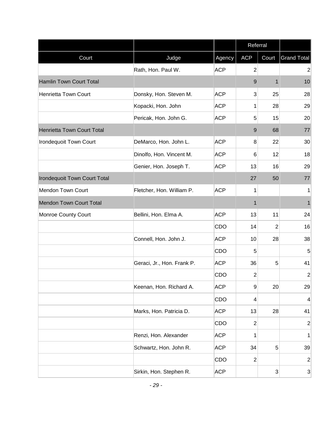|                                     |                            |            | Referral        |                |                    |
|-------------------------------------|----------------------------|------------|-----------------|----------------|--------------------|
| Court                               | Judge                      | Agency     | <b>ACP</b>      | Court          | <b>Grand Total</b> |
|                                     | Rath, Hon. Paul W.         | <b>ACP</b> | $\overline{2}$  |                | $\overline{2}$     |
| Hamlin Town Court Total             |                            |            | 9               | 1              | 10                 |
| <b>Henrietta Town Court</b>         | Donsky, Hon. Steven M.     | <b>ACP</b> | $\mathbf{3}$    | 25             | 28                 |
|                                     | Kopacki, Hon. John         | <b>ACP</b> | 1               | 28             | 29                 |
|                                     | Pericak, Hon. John G.      | <b>ACP</b> | 5               | 15             | 20                 |
| Henrietta Town Court Total          |                            |            | 9               | 68             | 77                 |
| <b>Irondequoit Town Court</b>       | DeMarco, Hon. John L.      | <b>ACP</b> | 8               | 22             | 30                 |
|                                     | Dinolfo, Hon. Vincent M.   | <b>ACP</b> | $6\phantom{1}6$ | 12             | 18                 |
|                                     | Genier, Hon. Joseph T.     | <b>ACP</b> | 13              | 16             | 29                 |
| <b>Irondequoit Town Court Total</b> |                            |            | 27              | 50             | 77                 |
| <b>Mendon Town Court</b>            | Fletcher, Hon. William P.  | <b>ACP</b> | 1               |                | 1                  |
| <b>Mendon Town Court Total</b>      |                            |            | 1               |                | 1                  |
| Monroe County Court                 | Bellini, Hon. Elma A.      | <b>ACP</b> | 13              | 11             | 24                 |
|                                     |                            | CDO        | 14              | $\overline{2}$ | 16                 |
|                                     | Connell, Hon. John J.      | <b>ACP</b> | 10              | 28             | 38                 |
|                                     |                            | CDO        | 5               |                | 5                  |
|                                     | Geraci, Jr., Hon. Frank P. | <b>ACP</b> | 36              | 5              | 41                 |
|                                     |                            | CDO        | $\overline{2}$  |                | $\overline{2}$     |
|                                     | Keenan, Hon. Richard A.    | <b>ACP</b> | 9               | 20             | 29                 |
|                                     |                            | CDO        | $\overline{4}$  |                | 4                  |
|                                     | Marks, Hon. Patricia D.    | <b>ACP</b> | 13              | 28             | 41                 |
|                                     |                            | CDO        | $\overline{2}$  |                | $\overline{2}$     |
|                                     | Renzi, Hon. Alexander      | <b>ACP</b> | 1               |                | 1                  |
|                                     | Schwartz, Hon. John R.     | <b>ACP</b> | 34              | 5              | 39                 |
|                                     |                            | CDO        | $\overline{2}$  |                | $\sqrt{2}$         |
|                                     | Sirkin, Hon. Stephen R.    | <b>ACP</b> |                 | 3              | $\mathbf{3}$       |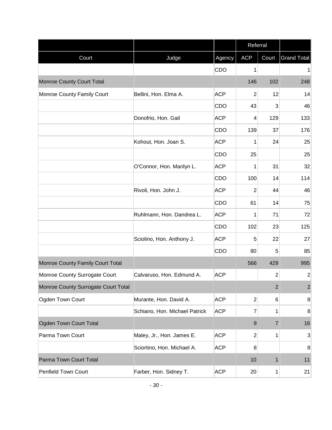|                                     |                               |            | Referral       |                |                    |
|-------------------------------------|-------------------------------|------------|----------------|----------------|--------------------|
| Court                               | Judge                         | Agency     | <b>ACP</b>     | Court          | <b>Grand Total</b> |
|                                     |                               | CDO        | 1              |                | $\mathbf{1}$       |
| <b>Monroe County Court Total</b>    |                               |            | 146            | 102            | 248                |
| Monroe County Family Court          | Bellini, Hon. Elma A.         | <b>ACP</b> | $\overline{2}$ | 12             | 14                 |
|                                     |                               | CDO        | 43             | 3              | 46                 |
|                                     | Donofrio, Hon. Gail           | <b>ACP</b> | 4              | 129            | 133                |
|                                     |                               | CDO        | 139            | 37             | 176                |
|                                     | Kohout, Hon. Joan S.          | <b>ACP</b> | 1              | 24             | 25                 |
|                                     |                               | CDO        | 25             |                | 25                 |
|                                     | O'Connor, Hon. Marilyn L.     | <b>ACP</b> | 1              | 31             | 32                 |
|                                     |                               | CDO        | 100            | 14             | 114                |
|                                     | Rivoli, Hon. John J.          | <b>ACP</b> | $\overline{2}$ | 44             | 46                 |
|                                     |                               | CDO        | 61             | 14             | 75                 |
|                                     | Ruhlmann, Hon. Dandrea L.     | <b>ACP</b> | 1              | 71             | 72                 |
|                                     |                               | CDO        | 102            | 23             | 125                |
|                                     | Sciolino, Hon. Anthony J.     | <b>ACP</b> | 5              | 22             | 27                 |
|                                     |                               | CDO        | 80             | 5              | 85                 |
| Monroe County Family Court Total    |                               |            | 566            | 429            | 995                |
| Monroe County Surrogate Court       | Calvaruso, Hon. Edmund A.     | <b>ACP</b> |                | $\overline{2}$ | $\mathbf{2}$       |
| Monroe County Surrogate Court Total |                               |            |                | $\overline{2}$ | $\overline{2}$     |
| Ogden Town Court                    | Murante, Hon. David A.        | <b>ACP</b> | $\overline{c}$ | 6              | 8                  |
|                                     | Schiano, Hon. Michael Patrick | <b>ACP</b> | 7              | 1              | $\boldsymbol{8}$   |
| Ogden Town Court Total              |                               |            | 9              | $\overline{7}$ | 16                 |
| Parma Town Court                    | Maley, Jr., Hon. James E.     | <b>ACP</b> | $\overline{c}$ | 1              | $\mathbf{3}$       |
|                                     | Sciortino, Hon. Michael A.    | <b>ACP</b> | 8              |                | 8                  |
| Parma Town Court Total              |                               |            | 10             | 1              | 11                 |
| Penfield Town Court                 | Farber, Hon. Sidney T.        | <b>ACP</b> | 20             | 1              | 21                 |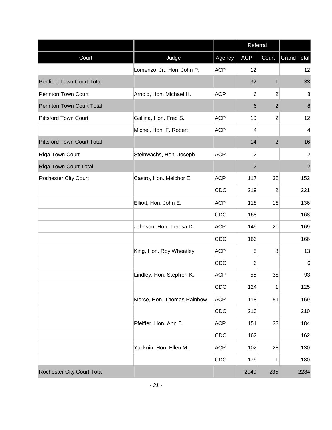|                                   |                            |            | Referral        |                |                    |
|-----------------------------------|----------------------------|------------|-----------------|----------------|--------------------|
| Court                             | Judge                      | Agency     | <b>ACP</b>      | Court          | <b>Grand Total</b> |
|                                   | Lomenzo, Jr., Hon. John P. | <b>ACP</b> | 12              |                | 12                 |
| Penfield Town Court Total         |                            |            | 32              | $\mathbf 1$    | 33                 |
| <b>Perinton Town Court</b>        | Arnold, Hon. Michael H.    | <b>ACP</b> | $6\phantom{1}6$ | $\overline{c}$ | 8                  |
| <b>Perinton Town Court Total</b>  |                            |            | 6               | $\overline{2}$ | $\boldsymbol{8}$   |
| <b>Pittsford Town Court</b>       | Gallina, Hon. Fred S.      | <b>ACP</b> | 10              | $\overline{2}$ | 12                 |
|                                   | Michel, Hon. F. Robert     | <b>ACP</b> | 4               |                | $\overline{4}$     |
| <b>Pittsford Town Court Total</b> |                            |            | 14              | $\overline{2}$ | 16                 |
| Riga Town Court                   | Steinwachs, Hon. Joseph    | <b>ACP</b> | $\overline{2}$  |                | $\overline{2}$     |
| <b>Riga Town Court Total</b>      |                            |            | $\overline{2}$  |                | $\overline{2}$     |
| <b>Rochester City Court</b>       | Castro, Hon. Melchor E.    | <b>ACP</b> | 117             | 35             | 152                |
|                                   |                            | CDO        | 219             | $\overline{2}$ | 221                |
|                                   | Elliott, Hon. John E.      | <b>ACP</b> | 118             | 18             | 136                |
|                                   |                            | CDO        | 168             |                | 168                |
|                                   | Johnson, Hon. Teresa D.    | <b>ACP</b> | 149             | 20             | 169                |
|                                   |                            | CDO        | 166             |                | 166                |
|                                   | King, Hon. Roy Wheatley    | <b>ACP</b> | 5               | 8              | 13                 |
|                                   |                            | CDO        | 6               |                | 6                  |
|                                   | Lindley, Hon. Stephen K.   | <b>ACP</b> | 55              | 38             | 93                 |
|                                   |                            | CDO        | 124             | 1              | 125                |
|                                   | Morse, Hon. Thomas Rainbow | <b>ACP</b> | 118             | 51             | 169                |
|                                   |                            | CDO        | 210             |                | 210                |
|                                   | Pfeiffer, Hon. Ann E.      | <b>ACP</b> | 151             | 33             | 184                |
|                                   |                            | CDO        | 162             |                | 162                |
|                                   | Yacknin, Hon. Ellen M.     | <b>ACP</b> | 102             | 28             | 130                |
|                                   |                            | CDO        | 179             | 1              | 180                |
| <b>Rochester City Court Total</b> |                            |            | 2049            | 235            | 2284               |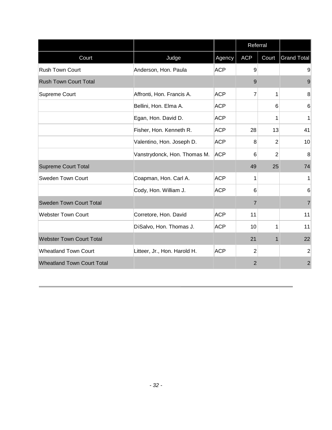|                                   |                              |            | Referral       |       |                    |
|-----------------------------------|------------------------------|------------|----------------|-------|--------------------|
| Court                             | Judge                        | Agency     | <b>ACP</b>     | Court | <b>Grand Total</b> |
| <b>Rush Town Court</b>            | Anderson, Hon. Paula         | <b>ACP</b> | 9              |       | 9                  |
| <b>Rush Town Court Total</b>      |                              |            | 9              |       | 9                  |
| <b>Supreme Court</b>              | Affronti, Hon. Francis A.    | <b>ACP</b> | $\overline{7}$ | 1     | 8                  |
|                                   | Bellini, Hon. Elma A.        | <b>ACP</b> |                | 6     | $6\phantom{1}6$    |
|                                   | Egan, Hon. David D.          | <b>ACP</b> |                | 1     | 1                  |
|                                   | Fisher, Hon. Kenneth R.      | <b>ACP</b> | 28             | 13    | 41                 |
|                                   | Valentino, Hon. Joseph D.    | <b>ACP</b> | 8              | 2     | 10                 |
|                                   | Vanstrydonck, Hon. Thomas M. | <b>ACP</b> | 6              | 2     | 8                  |
| <b>Supreme Court Total</b>        |                              |            | 49             | 25    | 74                 |
| <b>Sweden Town Court</b>          | Coapman, Hon. Carl A.        | <b>ACP</b> | 1              |       | 1                  |
|                                   | Cody, Hon. William J.        | <b>ACP</b> | 6              |       | $6\phantom{1}6$    |
| Sweden Town Court Total           |                              |            | $\overline{7}$ |       | $\overline{7}$     |
| <b>Webster Town Court</b>         | Corretore, Hon. David        | <b>ACP</b> | 11             |       | 11                 |
|                                   | DiSalvo, Hon. Thomas J.      | <b>ACP</b> | 10             | 1     | 11                 |
| <b>Webster Town Court Total</b>   |                              |            | 21             | 1     | 22                 |
| <b>Wheatland Town Court</b>       | Litteer, Jr., Hon. Harold H. | <b>ACP</b> | $\overline{2}$ |       | $\overline{2}$     |
| <b>Wheatland Town Court Total</b> |                              |            | $\overline{2}$ |       | $\overline{2}$     |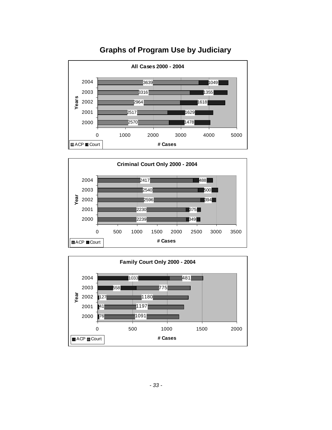

#### <span id="page-33-0"></span>**Graphs of Program Use by Judiciary**



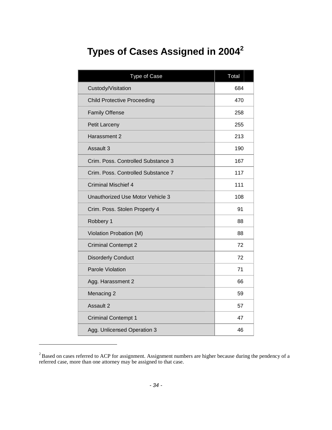# <span id="page-34-0"></span>**Types of Cases Assigned in2004<sup>2</sup>**

| Type of Case                       | Total |
|------------------------------------|-------|
| Custody/Visitation                 | 684   |
| <b>Child Protective Proceeding</b> | 470   |
| <b>Family Offense</b>              | 258   |
| Petit Larceny                      | 255   |
| Harassment 2                       | 213   |
| Assault 3                          | 190   |
| Crim. Poss. Controlled Substance 3 | 167   |
| Crim. Poss. Controlled Substance 7 | 117   |
| <b>Criminal Mischief 4</b>         | 111   |
| Unauthorized Use Motor Vehicle 3   | 108   |
| Crim. Poss. Stolen Property 4      | 91    |
| Robbery 1                          | 88    |
| Violation Probation (M)            | 88    |
| <b>Criminal Contempt 2</b>         | 72    |
| <b>Disorderly Conduct</b>          | 72    |
| Parole Violation                   | 71    |
| Agg. Harassment 2                  | 66    |
| Menacing 2                         | 59    |
| Assault 2                          | 57    |
| <b>Criminal Contempt 1</b>         | 47    |
| Agg. Unlicensed Operation 3        | 46    |

<span id="page-34-1"></span> $2^2$ Based on cases referred to ACP for assignment. Assignment numbers are higher because during the pendency of a referred case, more than one attorney may be assigned to that case.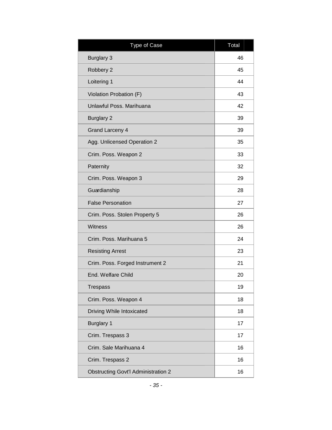| <b>Type of Case</b>                        | Total |
|--------------------------------------------|-------|
| <b>Burglary 3</b>                          | 46    |
| Robbery 2                                  | 45    |
| Loitering 1                                | 44    |
| Violation Probation (F)                    | 43    |
| Unlawful Poss, Marihuana                   | 42    |
| <b>Burglary 2</b>                          | 39    |
| <b>Grand Larceny 4</b>                     | 39    |
| Agg. Unlicensed Operation 2                | 35    |
| Crim. Poss. Weapon 2                       | 33    |
| Paternity                                  | 32    |
| Crim. Poss. Weapon 3                       | 29    |
| Guardianship                               | 28    |
| <b>False Personation</b>                   | 27    |
| Crim. Poss. Stolen Property 5              | 26    |
| Witness                                    | 26    |
| Crim. Poss. Marihuana 5                    | 24    |
| <b>Resisting Arrest</b>                    | 23    |
| Crim. Poss. Forged Instrument 2            | 21    |
| End. Welfare Child                         | 20    |
| <b>Trespass</b>                            | 19    |
| Crim. Poss. Weapon 4                       | 18    |
| Driving While Intoxicated                  | 18    |
| <b>Burglary 1</b>                          | 17    |
| Crim. Trespass 3                           | 17    |
| Crim. Sale Marihuana 4                     | 16    |
| Crim. Trespass 2                           | 16    |
| <b>Obstructing Govt'l Administration 2</b> | 16    |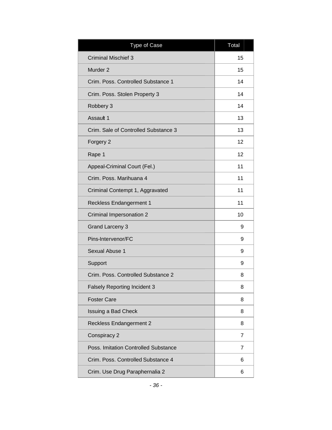| Type of Case                         | Total |
|--------------------------------------|-------|
| <b>Criminal Mischief 3</b>           | 15    |
| Murder <sub>2</sub>                  | 15    |
| Crim. Poss. Controlled Substance 1   | 14    |
| Crim. Poss. Stolen Property 3        | 14    |
| Robbery 3                            | 14    |
| Assault 1                            | 13    |
| Crim. Sale of Controlled Substance 3 | 13    |
| Forgery <sub>2</sub>                 | 12    |
| Rape 1                               | 12    |
| Appeal-Criminal Court (Fel.)         | 11    |
| Crim. Poss. Marihuana 4              | 11    |
| Criminal Contempt 1, Aggravated      | 11    |
| <b>Reckless Endangerment 1</b>       | 11    |
| Criminal Impersonation 2             | 10    |
| <b>Grand Larceny 3</b>               | 9     |
| Pins-Intervenor/FC                   | 9     |
| Sexual Abuse 1                       | 9     |
| Support                              | 9     |
| Crim. Poss. Controlled Substance 2   | 8     |
| <b>Falsely Reporting Incident 3</b>  | 8     |
| <b>Foster Care</b>                   | 8     |
| <b>Issuing a Bad Check</b>           | 8     |
| <b>Reckless Endangerment 2</b>       | 8     |
| Conspiracy 2                         | 7     |
| Poss. Imitation Controlled Substance | 7     |
| Crim. Poss. Controlled Substance 4   | 6     |
| Crim. Use Drug Paraphernalia 2       | 6     |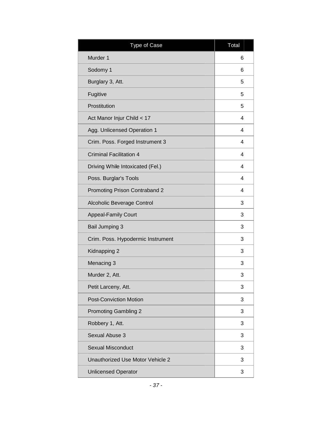| Type of Case                      | Total |
|-----------------------------------|-------|
| Murder 1                          | 6     |
| Sodomy 1                          | 6     |
| Burglary 3, Att.                  | 5     |
| Fugitive                          | 5     |
| Prostitution                      | 5     |
| Act Manor Injur Child < 17        | 4     |
| Agg. Unlicensed Operation 1       | 4     |
| Crim. Poss. Forged Instrument 3   | 4     |
| <b>Criminal Facilitation 4</b>    | 4     |
| Driving While Intoxicated (Fel.)  | 4     |
| Poss. Burglar's Tools             | 4     |
| Promoting Prison Contraband 2     | 4     |
| Alcoholic Beverage Control        | 3     |
| <b>Appeal-Family Court</b>        | 3     |
| <b>Bail Jumping 3</b>             | 3     |
| Crim. Poss. Hypodermic Instrument | 3     |
| Kidnapping 2                      | 3     |
| Menacing 3                        | 3     |
| Murder 2, Att.                    | 3     |
| Petit Larceny, Att.               | 3     |
| <b>Post-Conviction Motion</b>     | 3     |
| <b>Promoting Gambling 2</b>       | 3     |
| Robbery 1, Att.                   | 3     |
| Sexual Abuse 3                    | 3     |
| <b>Sexual Misconduct</b>          | 3     |
| Unauthorized Use Motor Vehicle 2  | 3     |
| <b>Unlicensed Operator</b>        | 3     |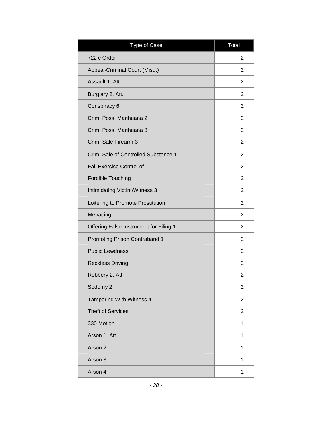| <b>Type of Case</b>                    | Total          |
|----------------------------------------|----------------|
| 722-c Order                            | 2              |
| Appeal-Criminal Court (Misd.)          | $\overline{2}$ |
| Assault 1, Att.                        | 2              |
| Burglary 2, Att.                       | 2              |
| Conspiracy 6                           | $\overline{2}$ |
| Crim. Poss. Marihuana 2                | 2              |
| Crim. Poss. Marihuana 3                | $\overline{2}$ |
| Crim. Sale Firearm 3                   | 2              |
| Crim. Sale of Controlled Substance 1   | $\overline{2}$ |
| Fail Exercise Control of               | 2              |
| Forcible Touching                      | 2              |
| Intimidating Victim/Witness 3          | $\overline{2}$ |
| Loitering to Promote Prostitution      | 2              |
| Menacing                               | $\overline{2}$ |
| Offering False Instrument for Filing 1 | 2              |
| Promoting Prison Contraband 1          | $\overline{2}$ |
| <b>Public Lewdness</b>                 | 2              |
| <b>Reckless Driving</b>                | 2              |
| Robbery 2, Att.                        | 2              |
| Sodomy 2                               | 2              |
| Tampering With Witness 4               | 2              |
| <b>Theft of Services</b>               | $\overline{c}$ |
| 330 Motion                             | 1              |
| Arson 1, Att.                          | 1              |
| Arson 2                                | 1              |
| Arson 3                                | 1              |
| Arson 4                                | 1              |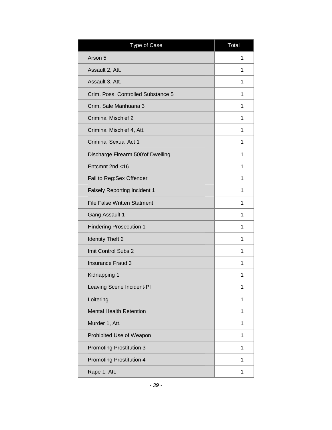| <b>Type of Case</b>                 | Total |
|-------------------------------------|-------|
| Arson 5                             | 1     |
| Assault 2, Att.                     | 1     |
| Assault 3, Att.                     | 1     |
| Crim. Poss. Controlled Substance 5  | 1     |
| Crim. Sale Marihuana 3              | 1     |
| <b>Criminal Mischief 2</b>          | 1     |
| Criminal Mischief 4, Att.           | 1     |
| <b>Criminal Sexual Act 1</b>        | 1     |
| Discharge Firearm 500'of Dwelling   | 1     |
| Entcmnt 2nd <16                     | 1     |
| Fail to Reg:Sex Offender            | 1     |
| <b>Falsely Reporting Incident 1</b> | 1     |
| <b>File False Written Statment</b>  | 1     |
| <b>Gang Assault 1</b>               | 1     |
| <b>Hindering Prosecution 1</b>      | 1     |
| <b>Identity Theft 2</b>             | 1     |
| Imit Control Subs 2                 | 1     |
| <b>Insurance Fraud 3</b>            | 1     |
| Kidnapping 1                        | 1     |
| Leaving Scene Incident-PI           | 1     |
| Loitering                           | 1     |
| <b>Mental Health Retention</b>      | 1     |
| Murder 1, Att.                      | 1     |
| Prohibited Use of Weapon            | 1     |
| <b>Promoting Prostitution 3</b>     | 1     |
| <b>Promoting Prostitution 4</b>     | 1     |
| Rape 1, Att.                        | 1     |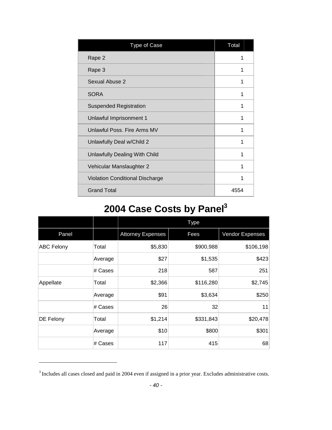| Type of Case                           | Total |
|----------------------------------------|-------|
| Rape 2                                 |       |
| Rape 3                                 | 1     |
| Sexual Abuse 2                         | 1     |
| <b>SORA</b>                            | 1     |
| <b>Suspended Registration</b>          | 1     |
| Unlawful Imprisonment 1                | 1     |
| Unlawful Poss, Fire Arms MV            | 1     |
| Unlawfully Deal w/Child 2              | 1     |
| Unlawfully Dealing With Child          | 1     |
| Vehicular Manslaughter 2               | 1     |
| <b>Violation Conditional Discharge</b> | 1     |
| <b>Grand Total</b>                     | 4554  |

# <span id="page-40-0"></span>**2004 Case Costs by Panel[3](#page-40-1)**

|                   |         | <b>Type</b>              |           |                        |  |
|-------------------|---------|--------------------------|-----------|------------------------|--|
| Panel             |         | <b>Attorney Expenses</b> | Fees      | <b>Vendor Expenses</b> |  |
| <b>ABC Felony</b> | Total   | \$5,830                  | \$900,988 | \$106,198              |  |
|                   | Average | \$27                     | \$1,535   | \$423                  |  |
|                   | # Cases | 218                      | 587       | 251                    |  |
| Appellate         | Total   | \$2,366                  | \$116,280 | \$2,745                |  |
|                   | Average | \$91                     | \$3,634   | \$250                  |  |
|                   | # Cases | 26                       | 32        | 11                     |  |
| DE Felony         | Total   | \$1,214                  | \$331,843 | \$20,478               |  |
|                   | Average | \$10                     | \$800     | \$301                  |  |
|                   | # Cases | 117                      | 415       | 68                     |  |

<span id="page-40-1"></span> $3$  Includes all cases closed and paid in 2004 even if assigned in a prior year. Excludes administrative costs.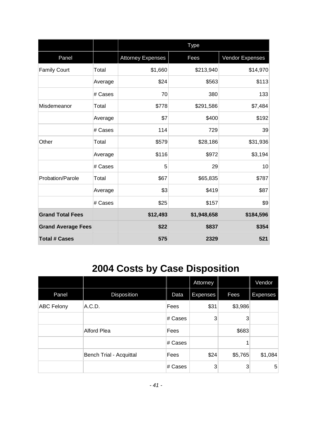|                           |         | <b>Type</b>              |             |                 |
|---------------------------|---------|--------------------------|-------------|-----------------|
| Panel                     |         | <b>Attorney Expenses</b> | Fees        | Vendor Expenses |
| <b>Family Court</b>       | Total   | \$1,660                  | \$213,940   | \$14,970        |
|                           | Average | \$24                     | \$563       | \$113           |
|                           | # Cases | 70                       | 380         | 133             |
| Misdemeanor               | Total   | \$778                    | \$291,586   | \$7,484         |
|                           | Average | \$7                      | \$400       | \$192           |
|                           | # Cases | 114                      | 729         | 39              |
| Other                     | Total   | \$579                    | \$28,186    | \$31,936        |
|                           | Average | \$116                    | \$972       | \$3,194         |
|                           | # Cases | 5                        | 29          | 10              |
| Probation/Parole          | Total   | \$67                     | \$65,835    | \$787           |
|                           | Average | \$3                      | \$419       | \$87            |
|                           | # Cases | \$25                     | \$157       | \$9             |
| <b>Grand Total Fees</b>   |         | \$12,493                 | \$1,948,658 | \$184,596       |
| <b>Grand Average Fees</b> |         | \$22                     | \$837       | \$354           |
| <b>Total # Cases</b>      |         | 575                      | 2329        | 521             |

# <span id="page-41-0"></span>**2004 Costs by Case Disposition**

|                   |                         |         | Attorney        |         | Vendor         |
|-------------------|-------------------------|---------|-----------------|---------|----------------|
| Panel             | Disposition             | Data    | <b>Expenses</b> | Fees    | Expenses       |
| <b>ABC Felony</b> | A.C.D.                  | Fees    | \$31            | \$3,986 |                |
|                   |                         | # Cases | 3               | 3       |                |
|                   | Alford Plea             | Fees    |                 | \$683   |                |
|                   |                         | # Cases |                 |         |                |
|                   | Bench Trial - Acquittal | Fees    | \$24            | \$5,765 | \$1,084        |
|                   |                         | # Cases | 3               | 3       | 5 <sup>5</sup> |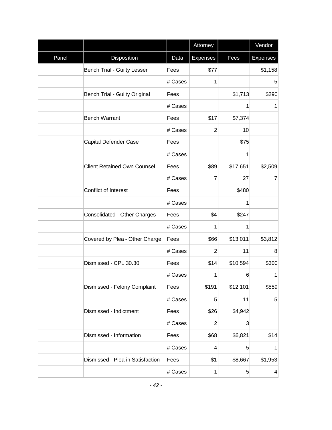|       |                                    |         | Attorney        |                | Vendor          |
|-------|------------------------------------|---------|-----------------|----------------|-----------------|
| Panel | Disposition                        | Data    | <b>Expenses</b> | Fees           | <b>Expenses</b> |
|       | <b>Bench Trial - Guilty Lesser</b> | Fees    | \$77            |                | \$1,158         |
|       |                                    | # Cases | 1               |                | 5               |
|       | Bench Trial - Guilty Original      | Fees    |                 | \$1,713        | \$290           |
|       |                                    | # Cases |                 | $\mathbf{1}$   | 1               |
|       | <b>Bench Warrant</b>               | Fees    | \$17            | \$7,374        |                 |
|       |                                    | # Cases | $\overline{2}$  | 10             |                 |
|       | Capital Defender Case              | Fees    |                 | \$75           |                 |
|       |                                    | # Cases |                 | 1              |                 |
|       | <b>Client Retained Own Counsel</b> | Fees    | \$89            | \$17,651       | \$2,509         |
|       |                                    | # Cases | $\overline{7}$  | 27             | $\overline{7}$  |
|       | Conflict of Interest               | Fees    |                 | \$480          |                 |
|       |                                    | # Cases |                 | 1              |                 |
|       | Consolidated - Other Charges       | Fees    | \$4             | \$247          |                 |
|       |                                    | # Cases | 1               | 1              |                 |
|       | Covered by Plea - Other Charge     | Fees    | \$66            | \$13,011       | \$3,812         |
|       |                                    | # Cases | $\overline{2}$  | 11             | 8               |
|       | Dismissed - CPL 30.30              | Fees    | \$14            | \$10,594       | \$300           |
|       |                                    | # Cases | 1               | 6              | $\mathbf{1}$    |
|       | Dismissed - Felony Complaint       | Fees    | \$191           | \$12,101       | \$559           |
|       |                                    | # Cases | 5               | 11             | 5               |
|       | Dismissed - Indictment             | Fees    | \$26            | \$4,942        |                 |
|       |                                    | # Cases | $\overline{2}$  | $\mathbf{3}$   |                 |
|       | Dismissed - Information            | Fees    | \$68            | \$6,821        | \$14            |
|       |                                    | # Cases | 4               | 5 <sup>5</sup> | $\mathbf{1}$    |
|       | Dismissed - Plea in Satisfaction   | Fees    | \$1             | \$8,667        | \$1,953         |
|       |                                    | # Cases | 1               | $\sqrt{5}$     | $\vert 4 \vert$ |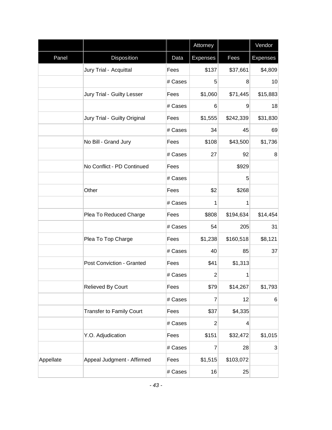|           |                                 |         | Attorney        |           | Vendor          |
|-----------|---------------------------------|---------|-----------------|-----------|-----------------|
| Panel     | Disposition                     | Data    | <b>Expenses</b> | Fees      | <b>Expenses</b> |
|           | Jury Trial - Acquittal          | Fees    | \$137           | \$37,661  | \$4,809         |
|           |                                 | # Cases | 5               | 8         | 10              |
|           | Jury Trial - Guilty Lesser      | Fees    | \$1,060         | \$71,445  | \$15,883        |
|           |                                 | # Cases | 6               | 9         | 18              |
|           | Jury Trial - Guilty Original    | Fees    | \$1,555         | \$242,339 | \$31,830        |
|           |                                 | # Cases | 34              | 45        | 69              |
|           | No Bill - Grand Jury            | Fees    | \$108           | \$43,500  | \$1,736         |
|           |                                 | # Cases | 27              | 92        | 8 <sup>1</sup>  |
|           | No Conflict - PD Continued      | Fees    |                 | \$929     |                 |
|           |                                 | # Cases |                 | 5         |                 |
|           | Other                           | Fees    | \$2             | \$268     |                 |
|           |                                 | # Cases | 1               | 1         |                 |
|           | Plea To Reduced Charge          | Fees    | \$808           | \$194,634 | \$14,454        |
|           |                                 | # Cases | 54              | 205       | 31              |
|           | Plea To Top Charge              | Fees    | \$1,238         | \$160,518 | \$8,121         |
|           |                                 | # Cases | 40              | 85        | 37              |
|           | Post Conviction - Granted       | Fees    | \$41            | \$1,313   |                 |
|           |                                 | # Cases | $\overline{2}$  | 1         |                 |
|           | Relieved By Court               | Fees    | \$79            | \$14,267  | \$1,793         |
|           |                                 | # Cases | 7               | 12        | $6 \mid$        |
|           | <b>Transfer to Family Court</b> | Fees    | \$37            | \$4,335   |                 |
|           |                                 | # Cases | $\overline{c}$  | 4         |                 |
|           | Y.O. Adjudication               | Fees    | \$151           | \$32,472  | \$1,015         |
|           |                                 | # Cases | 7               | 28        | $\mathbf{3}$    |
| Appellate | Appeal Judgment - Affirmed      | Fees    | \$1,515         | \$103,072 |                 |
|           |                                 | # Cases | 16              | 25        |                 |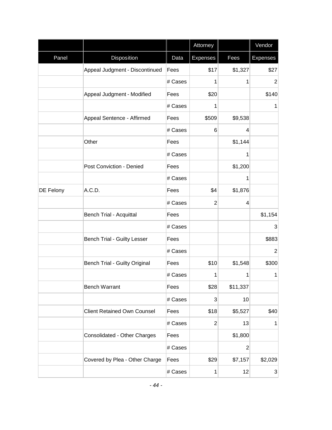|                  |                                      |         | Attorney        |              | Vendor          |
|------------------|--------------------------------------|---------|-----------------|--------------|-----------------|
| Panel            | <b>Disposition</b>                   | Data    | <b>Expenses</b> | Fees         | <b>Expenses</b> |
|                  | Appeal Judgment - Discontinued       | Fees    | \$17            | \$1,327      | \$27            |
|                  |                                      | # Cases | 1               | 1            | $\overline{2}$  |
|                  | Appeal Judgment - Modified           | Fees    | \$20            |              | \$140           |
|                  |                                      | # Cases | 1               |              | 1               |
|                  | Appeal Sentence - Affirmed           | Fees    | \$509           | \$9,538      |                 |
|                  |                                      | # Cases | 6               | 4            |                 |
|                  | Other                                | Fees    |                 | \$1,144      |                 |
|                  |                                      | # Cases |                 | 1            |                 |
|                  | Post Conviction - Denied             | Fees    |                 | \$1,200      |                 |
|                  |                                      | # Cases |                 | 1            |                 |
| <b>DE Felony</b> | A.C.D.                               | Fees    | \$4             | \$1,876      |                 |
|                  |                                      | # Cases | $\overline{2}$  | 4            |                 |
|                  | <b>Bench Trial - Acquittal</b>       | Fees    |                 |              | \$1,154         |
|                  |                                      | # Cases |                 |              | 3               |
|                  | <b>Bench Trial - Guilty Lesser</b>   | Fees    |                 |              | \$883           |
|                  |                                      | # Cases |                 |              | $\overline{2}$  |
|                  | <b>Bench Trial - Guilty Original</b> | Fees    | \$10            | \$1,548      | \$300           |
|                  |                                      | # Cases | 1               | 1            | 1               |
|                  | <b>Bench Warrant</b>                 | Fees    | \$28            | \$11,337     |                 |
|                  |                                      | # Cases | 3               | 10           |                 |
|                  | <b>Client Retained Own Counsel</b>   | Fees    | \$18            | \$5,527      | \$40            |
|                  |                                      | # Cases | $\overline{c}$  | 13           | 1               |
|                  | Consolidated - Other Charges         | Fees    |                 | \$1,800      |                 |
|                  |                                      | # Cases |                 | $\mathbf{2}$ |                 |
|                  | Covered by Plea - Other Charge       | Fees    | \$29            | \$7,157      | \$2,029         |
|                  |                                      | # Cases | 1               | 12           | $\mathbf{3}$    |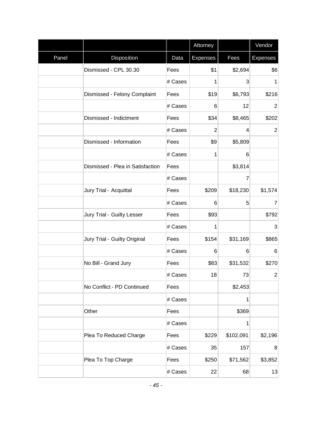|       |                                  |         | Attorney        |                | Vendor          |
|-------|----------------------------------|---------|-----------------|----------------|-----------------|
| Panel | Disposition                      | Data    | <b>Expenses</b> | Fees           | <b>Expenses</b> |
|       | Dismissed - CPL 30.30            | Fees    | \$1             | \$2,694        | \$6             |
|       |                                  | # Cases | 1               | $\overline{3}$ | 1               |
|       | Dismissed - Felony Complaint     | Fees    | \$19            | \$6,793        | \$216           |
|       |                                  | # Cases | 6               | 12             | $\overline{2}$  |
|       | Dismissed - Indictment           | Fees    | \$34            | \$8,465        | \$202           |
|       |                                  | # Cases | $\overline{c}$  | $\vert$        | $\overline{2}$  |
|       | Dismissed - Information          | Fees    | \$9             | \$5,809        |                 |
|       |                                  | # Cases | 1               | $6 \mid$       |                 |
|       | Dismissed - Plea in Satisfaction | Fees    |                 | \$3,814        |                 |
|       |                                  | # Cases |                 | 7              |                 |
|       | Jury Trial - Acquittal           | Fees    | \$209           | \$18,230       | \$1,574         |
|       |                                  | # Cases | 6               | 5              | $\overline{7}$  |
|       | Jury Trial - Guilty Lesser       | Fees    | \$93            |                | \$792           |
|       |                                  | # Cases | 1               |                | 3               |
|       | Jury Trial - Guilty Original     | Fees    | \$154           | \$31,169       | \$865           |
|       |                                  | # Cases | 6               | $6 \mid$       | 6               |
|       | No Bill - Grand Jury             | Fees    | \$83            | \$31,532       | \$270           |
|       |                                  | # Cases | 18              | 73             | $\overline{2}$  |
|       | No Conflict - PD Continued       | Fees    |                 | \$2,453        |                 |
|       |                                  | # Cases |                 | 1              |                 |
|       | Other                            | Fees    |                 | \$369          |                 |
|       |                                  | # Cases |                 | 1              |                 |
|       | Plea To Reduced Charge           | Fees    | \$229           | \$102,091      | \$2,196         |
|       |                                  | # Cases | 35              | 157            | 8               |
|       | Plea To Top Charge               | Fees    | \$250           | \$71,562       | \$3,852         |
|       |                                  | # Cases | 22              | 68             | 13              |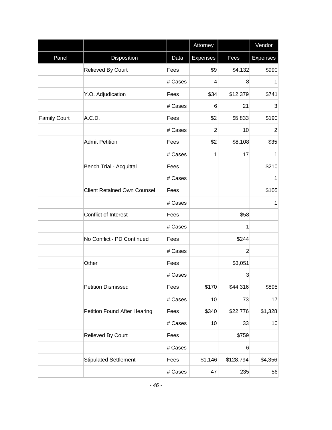|                     |                                    |         | Attorney        |                | Vendor          |
|---------------------|------------------------------------|---------|-----------------|----------------|-----------------|
| Panel               | Disposition                        | Data    | <b>Expenses</b> | Fees           | <b>Expenses</b> |
|                     | Relieved By Court                  | Fees    | \$9             | \$4,132        | \$990           |
|                     |                                    | # Cases | 4               | 8              | 1               |
|                     | Y.O. Adjudication                  | Fees    | \$34            | \$12,379       | \$741           |
|                     |                                    | # Cases | 6               | 21             | 3               |
| <b>Family Court</b> | A.C.D.                             | Fees    | \$2             | \$5,833        | \$190           |
|                     |                                    | # Cases | $\overline{c}$  | 10             | $\overline{2}$  |
|                     | <b>Admit Petition</b>              | Fees    | \$2             | \$8,108        | \$35            |
|                     |                                    | # Cases | 1               | 17             | 1               |
|                     | <b>Bench Trial - Acquittal</b>     | Fees    |                 |                | \$210           |
|                     |                                    | # Cases |                 |                | 1               |
|                     | <b>Client Retained Own Counsel</b> | Fees    |                 |                | \$105           |
|                     |                                    | # Cases |                 |                | 1               |
|                     | Conflict of Interest               | Fees    |                 | \$58           |                 |
|                     |                                    | # Cases |                 | 1              |                 |
|                     | No Conflict - PD Continued         | Fees    |                 | \$244          |                 |
|                     |                                    | # Cases |                 | $\overline{2}$ |                 |
|                     | Other                              | Fees    |                 | \$3,051        |                 |
|                     |                                    | # Cases |                 | 3              |                 |
|                     | <b>Petition Dismissed</b>          | Fees    | \$170           | \$44,316       | \$895           |
|                     |                                    | # Cases | 10              | 73             | 17              |
|                     | Petition Found After Hearing       | Fees    | \$340           | \$22,776       | \$1,328         |
|                     |                                    | # Cases | 10              | 33             | 10              |
|                     | Relieved By Court                  | Fees    |                 | \$759          |                 |
|                     |                                    | # Cases |                 | 6              |                 |
|                     | <b>Stipulated Settlement</b>       | Fees    | \$1,146         | \$128,794      | \$4,356         |
|                     |                                    | # Cases | 47              | 235            | 56              |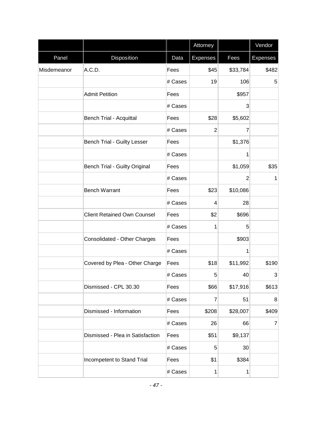|             |                                      |         | Attorney        |                 | Vendor          |
|-------------|--------------------------------------|---------|-----------------|-----------------|-----------------|
| Panel       | Disposition                          | Data    | <b>Expenses</b> | Fees            | <b>Expenses</b> |
| Misdemeanor | A.C.D.                               | Fees    | \$45            | \$33,784        | \$482           |
|             |                                      | # Cases | 19              | 106             | 5               |
|             | <b>Admit Petition</b>                | Fees    |                 | \$957           |                 |
|             |                                      | # Cases |                 | $\vert 3 \vert$ |                 |
|             | <b>Bench Trial - Acquittal</b>       | Fees    | \$28            | \$5,602         |                 |
|             |                                      | # Cases | $\overline{2}$  | 7               |                 |
|             | <b>Bench Trial - Guilty Lesser</b>   | Fees    |                 | \$1,376         |                 |
|             |                                      | # Cases |                 | 1               |                 |
|             | <b>Bench Trial - Guilty Original</b> | Fees    |                 | \$1,059         | \$35            |
|             |                                      | # Cases |                 | $\overline{2}$  | $\mathbf{1}$    |
|             | <b>Bench Warrant</b>                 | Fees    | \$23            | \$10,086        |                 |
|             |                                      | # Cases | 4               | 28              |                 |
|             | <b>Client Retained Own Counsel</b>   | Fees    | \$2             | \$696           |                 |
|             |                                      | # Cases | 1               | 5 <sup>5</sup>  |                 |
|             | Consolidated - Other Charges         | Fees    |                 | \$903           |                 |
|             |                                      | # Cases |                 | 1               |                 |
|             | Covered by Plea - Other Charge       | Fees    | \$18            | \$11,992        | \$190           |
|             |                                      | # Cases | 5               | 40              | 3               |
|             | Dismissed - CPL 30.30                | Fees    | \$66            | \$17,916        | \$613           |
|             |                                      | # Cases | $\overline{7}$  | 51              | 8               |
|             | Dismissed - Information              | Fees    | \$208           | \$28,007        | \$409           |
|             |                                      | # Cases | 26              | 66              | $\overline{7}$  |
|             | Dismissed - Plea in Satisfaction     | Fees    | \$51            | \$9,137         |                 |
|             |                                      | # Cases | 5               | 30              |                 |
|             | Incompetent to Stand Trial           | Fees    | \$1             | \$384           |                 |
|             |                                      | # Cases | 1               | 1               |                 |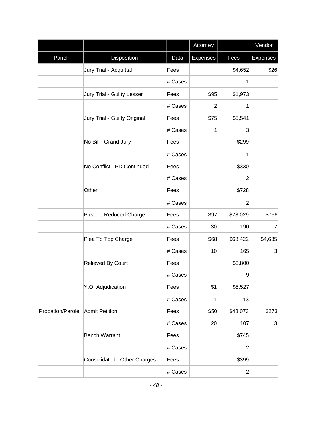|                  |                              |         | Attorney        |                | Vendor          |
|------------------|------------------------------|---------|-----------------|----------------|-----------------|
| Panel            | Disposition                  | Data    | <b>Expenses</b> | Fees           | <b>Expenses</b> |
|                  | Jury Trial - Acquittal       | Fees    |                 | \$4,652        | \$26            |
|                  |                              | # Cases |                 | 1              | 1               |
|                  | Jury Trial - Guilty Lesser   | Fees    | \$95            | \$1,973        |                 |
|                  |                              | # Cases | $\overline{2}$  | 1              |                 |
|                  | Jury Trial - Guilty Original | Fees    | \$75            | \$5,541        |                 |
|                  |                              | # Cases | 1               | 3              |                 |
|                  | No Bill - Grand Jury         | Fees    |                 | \$299          |                 |
|                  |                              | # Cases |                 | 1              |                 |
|                  | No Conflict - PD Continued   | Fees    |                 | \$330          |                 |
|                  |                              | # Cases |                 | $\overline{2}$ |                 |
|                  | Other                        | Fees    |                 | \$728          |                 |
|                  |                              | # Cases |                 | $\overline{2}$ |                 |
|                  | Plea To Reduced Charge       | Fees    | \$97            | \$78,029       | \$756           |
|                  |                              | # Cases | 30              | 190            | $\overline{7}$  |
|                  | Plea To Top Charge           | Fees    | \$68            | \$68,422       | \$4,635         |
|                  |                              | # Cases | 10              | 165            | 3               |
|                  | Relieved By Court            | Fees    |                 | \$3,800        |                 |
|                  |                              | # Cases |                 | 9              |                 |
|                  | Y.O. Adjudication            | Fees    | \$1             | \$5,527        |                 |
|                  |                              | # Cases | 1               | 13             |                 |
| Probation/Parole | <b>Admit Petition</b>        | Fees    | \$50            | \$48,073       | \$273           |
|                  |                              | # Cases | 20              | 107            | 3               |
|                  | <b>Bench Warrant</b>         | Fees    |                 | \$745          |                 |
|                  |                              | # Cases |                 | $\overline{2}$ |                 |
|                  | Consolidated - Other Charges | Fees    |                 | \$399          |                 |
|                  |                              | # Cases |                 | $\mathbf{2}$   |                 |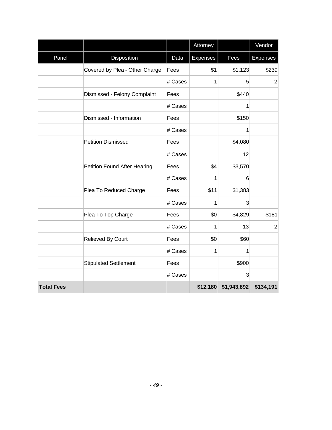|                   |                                     |         | Attorney |                      | Vendor          |
|-------------------|-------------------------------------|---------|----------|----------------------|-----------------|
| Panel             | Disposition                         | Data    | Expenses | Fees                 | <b>Expenses</b> |
|                   | Covered by Plea - Other Charge      | Fees    | \$1      | \$1,123              | \$239           |
|                   |                                     | # Cases | 1        | 5                    | $\overline{2}$  |
|                   | Dismissed - Felony Complaint        | Fees    |          | \$440                |                 |
|                   |                                     | # Cases |          | 1                    |                 |
|                   | Dismissed - Information             | Fees    |          | \$150                |                 |
|                   |                                     | # Cases |          | 1                    |                 |
|                   | <b>Petition Dismissed</b>           | Fees    |          | \$4,080              |                 |
|                   |                                     | # Cases |          | 12                   |                 |
|                   | <b>Petition Found After Hearing</b> | Fees    | \$4      | \$3,570              |                 |
|                   |                                     | # Cases | 1        | 6                    |                 |
|                   | Plea To Reduced Charge              | Fees    | \$11     | \$1,383              |                 |
|                   |                                     | # Cases | 1        | $\overline{3}$       |                 |
|                   | Plea To Top Charge                  | Fees    | \$0      | \$4,829              | \$181           |
|                   |                                     | # Cases | 1        | 13                   | $\overline{2}$  |
|                   | Relieved By Court                   | Fees    | \$0      | \$60                 |                 |
|                   |                                     | # Cases | 1        | 1                    |                 |
|                   | <b>Stipulated Settlement</b>        | Fees    |          | \$900                |                 |
|                   |                                     | # Cases |          | 3                    |                 |
| <b>Total Fees</b> |                                     |         |          | \$12,180 \$1,943,892 | \$134,191       |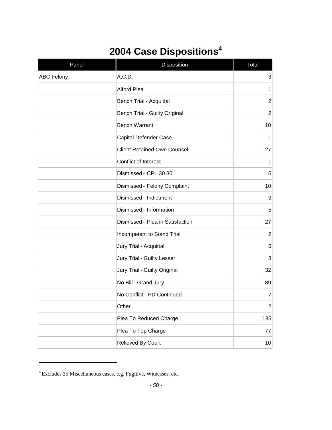# <span id="page-50-0"></span>**2004 Case Dispositions<sup>4</sup>**

| Panel             | Disposition                          | Total            |
|-------------------|--------------------------------------|------------------|
| <b>ABC Felony</b> | A.C.D.                               | $\sqrt{3}$       |
|                   | <b>Alford Plea</b>                   | $\mathbf{1}$     |
|                   | Bench Trial - Acquittal              | $\overline{2}$   |
|                   | <b>Bench Trial - Guilty Original</b> | $\overline{2}$   |
|                   | <b>Bench Warrant</b>                 | 10               |
|                   | Capital Defender Case                | 1                |
|                   | <b>Client Retained Own Counsel</b>   | 27               |
|                   | Conflict of Interest                 | 1                |
|                   | Dismissed - CPL 30.30                | 5                |
|                   | Dismissed - Felony Complaint         | 10               |
|                   | Dismissed - Indictment               | 3                |
|                   | Dismissed - Information              | 5                |
|                   | Dismissed - Plea in Satisfaction     | 27               |
|                   | Incompetent to Stand Trial           | $\overline{2}$   |
|                   | Jury Trial - Acquittal               | $6\phantom{1}6$  |
|                   | Jury Trial - Guilty Lesser           | 8                |
|                   | Jury Trial - Guilty Original         | 32               |
|                   | No Bill - Grand Jury                 | 89               |
|                   | No Conflict - PD Continued           | $\overline{7}$   |
|                   | Other                                | $\boldsymbol{2}$ |
|                   | Plea To Reduced Charge               | 185              |
|                   | Plea To Top Charge                   | 77               |
|                   | Relieved By Court                    | $10$             |

<sup>4</sup> Excludes 35 Miscellaneous cases, e.g. Fugitive, Witnesses, etc.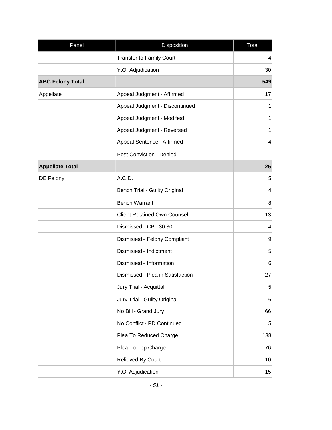| Panel                   | Disposition                          | Total      |
|-------------------------|--------------------------------------|------------|
|                         | <b>Transfer to Family Court</b>      | 4          |
|                         | Y.O. Adjudication                    | 30         |
| <b>ABC Felony Total</b> |                                      | 549        |
| Appellate               | Appeal Judgment - Affirmed           | 17         |
|                         | Appeal Judgment - Discontinued       | 1          |
|                         | Appeal Judgment - Modified           | 1          |
|                         | Appeal Judgment - Reversed           | 1          |
|                         | Appeal Sentence - Affirmed           | 4          |
|                         | <b>Post Conviction - Denied</b>      | 1          |
| <b>Appellate Total</b>  |                                      | 25         |
| DE Felony               | A.C.D.                               | 5          |
|                         | <b>Bench Trial - Guilty Original</b> | 4          |
|                         | <b>Bench Warrant</b>                 | 8          |
|                         | <b>Client Retained Own Counsel</b>   | 13         |
|                         | Dismissed - CPL 30.30                | 4          |
|                         | Dismissed - Felony Complaint         | 9          |
|                         | Dismissed - Indictment               | 5          |
|                         | Dismissed - Information              | 6          |
|                         | Dismissed - Plea in Satisfaction     | 27         |
|                         | Jury Trial - Acquittal               | $\sqrt{5}$ |
|                         | Jury Trial - Guilty Original         | 6          |
|                         | No Bill - Grand Jury                 | 66         |
|                         | No Conflict - PD Continued           | 5          |
|                         | Plea To Reduced Charge               | 138        |
|                         | Plea To Top Charge                   | 76         |
|                         | Relieved By Court                    | 10         |
|                         | Y.O. Adjudication                    | 15         |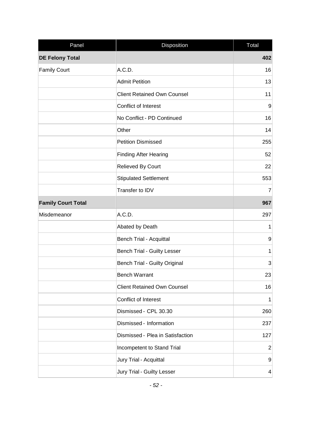| Panel                     | Disposition                          | Total           |
|---------------------------|--------------------------------------|-----------------|
| <b>DE Felony Total</b>    |                                      | 402             |
| <b>Family Court</b>       | A.C.D.                               | 16              |
|                           | <b>Admit Petition</b>                | 13              |
|                           | <b>Client Retained Own Counsel</b>   | 11              |
|                           | Conflict of Interest                 | 9               |
|                           | No Conflict - PD Continued           | 16              |
|                           | Other                                | 14              |
|                           | <b>Petition Dismissed</b>            | 255             |
|                           | <b>Finding After Hearing</b>         | 52              |
|                           | Relieved By Court                    | 22              |
|                           | <b>Stipulated Settlement</b>         | 553             |
|                           | Transfer to IDV                      | 7               |
| <b>Family Court Total</b> |                                      | 967             |
| Misdemeanor               | A.C.D.                               | 297             |
|                           | Abated by Death                      | $\mathbf 1$     |
|                           | Bench Trial - Acquittal              | 9               |
|                           | <b>Bench Trial - Guilty Lesser</b>   | $\mathbf{1}$    |
|                           | <b>Bench Trial - Guilty Original</b> | 3               |
|                           | <b>Bench Warrant</b>                 | 23              |
|                           | <b>Client Retained Own Counsel</b>   | 16              |
|                           | Conflict of Interest                 | $\mathbf{1}$    |
|                           | Dismissed - CPL 30.30                | 260             |
|                           | Dismissed - Information              | 237             |
|                           | Dismissed - Plea in Satisfaction     | 127             |
|                           | Incompetent to Stand Trial           | $\overline{c}$  |
|                           | Jury Trial - Acquittal               | 9               |
|                           | Jury Trial - Guilty Lesser           | $\vert 4 \vert$ |